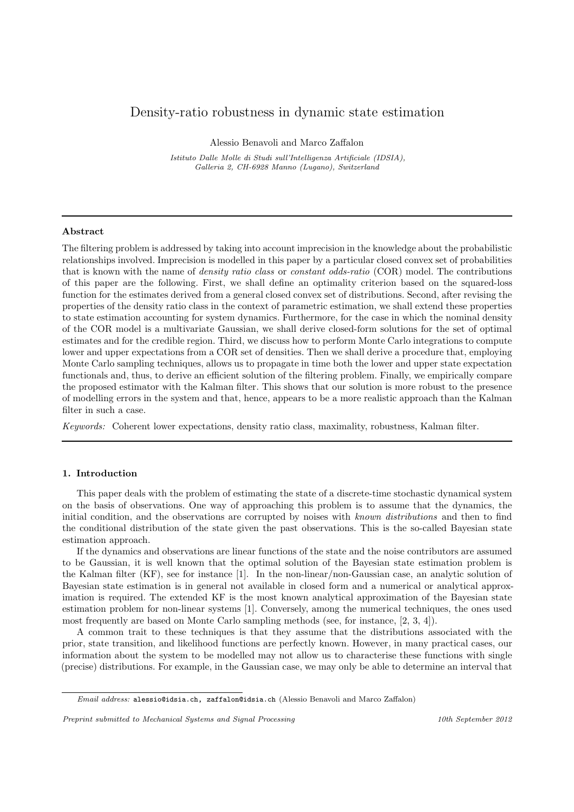# Density-ratio robustness in dynamic state estimation

Alessio Benavoli and Marco Zaffalon

*Istituto Dalle Molle di Studi sull'Intelligenza Artificiale (IDSIA), Galleria 2, CH-6928 Manno (Lugano), Switzerland*

# Abstract

The filtering problem is addressed by taking into account imprecision in the knowledge about the probabilistic relationships involved. Imprecision is modelled in this paper by a particular closed convex set of probabilities that is known with the name of density ratio class or constant odds-ratio (COR) model. The contributions of this paper are the following. First, we shall define an optimality criterion based on the squared-loss function for the estimates derived from a general closed convex set of distributions. Second, after revising the properties of the density ratio class in the context of parametric estimation, we shall extend these properties to state estimation accounting for system dynamics. Furthermore, for the case in which the nominal density of the COR model is a multivariate Gaussian, we shall derive closed-form solutions for the set of optimal estimates and for the credible region. Third, we discuss how to perform Monte Carlo integrations to compute lower and upper expectations from a COR set of densities. Then we shall derive a procedure that, employing Monte Carlo sampling techniques, allows us to propagate in time both the lower and upper state expectation functionals and, thus, to derive an efficient solution of the filtering problem. Finally, we empirically compare the proposed estimator with the Kalman filter. This shows that our solution is more robust to the presence of modelling errors in the system and that, hence, appears to be a more realistic approach than the Kalman filter in such a case.

Keywords: Coherent lower expectations, density ratio class, maximality, robustness, Kalman filter.

# 1. Introduction

This paper deals with the problem of estimating the state of a discrete-time stochastic dynamical system on the basis of observations. One way of approaching this problem is to assume that the dynamics, the initial condition, and the observations are corrupted by noises with known distributions and then to find the conditional distribution of the state given the past observations. This is the so-called Bayesian state estimation approach.

If the dynamics and observations are linear functions of the state and the noise contributors are assumed to be Gaussian, it is well known that the optimal solution of the Bayesian state estimation problem is the Kalman filter (KF), see for instance [\[1](#page-26-0)]. In the non-linear/non-Gaussian case, an analytic solution of Bayesian state estimation is in general not available in closed form and a numerical or analytical approximation is required. The extended KF is the most known analytical approximation of the Bayesian state estimation problem for non-linear systems [\[1](#page-26-0)]. Conversely, among the numerical techniques, the ones used most frequently are based on Monte Carlo sampling methods (see, for instance, [\[2,](#page-26-1) [3,](#page-26-2) [4](#page-26-3)]).

A common trait to these techniques is that they assume that the distributions associated with the prior, state transition, and likelihood functions are perfectly known. However, in many practical cases, our information about the system to be modelled may not allow us to characterise these functions with single (precise) distributions. For example, in the Gaussian case, we may only be able to determine an interval that

*Email address:* alessio@idsia.ch, zaffalon@idsia.ch (Alessio Benavoli and Marco Zaffalon)

*Preprint submitted to Mechanical Systems and Signal Processing 10th September 2012*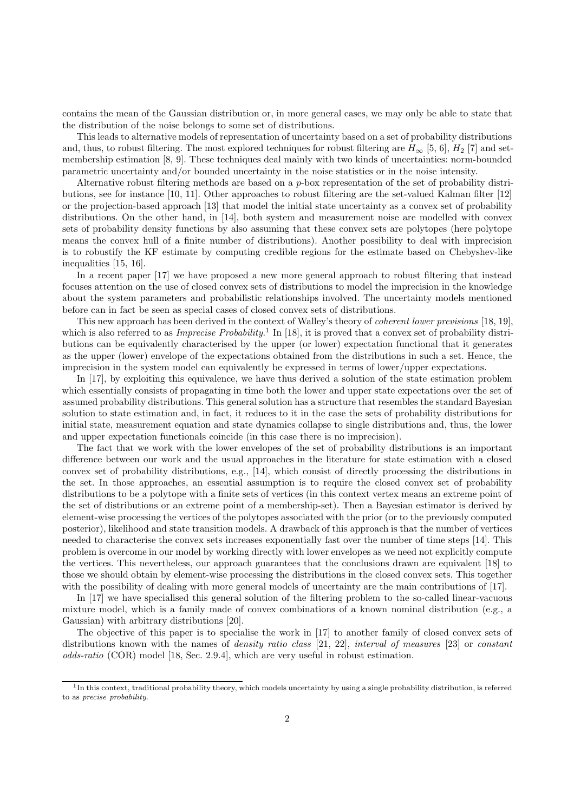contains the mean of the Gaussian distribution or, in more general cases, we may only be able to state that the distribution of the noise belongs to some set of distributions.

This leads to alternative models of representation of uncertainty based on a set of probability distributions and, thus, to robust filtering. The most explored techniques for robust filtering are  $H_{\infty}$  [\[5,](#page-26-4) [6\]](#page-26-5),  $H_2$  [\[7](#page-26-6)] and setmembership estimation [\[8,](#page-26-7) [9\]](#page-27-0). These techniques deal mainly with two kinds of uncertainties: norm-bounded parametric uncertainty and/or bounded uncertainty in the noise statistics or in the noise intensity.

Alternative robust filtering methods are based on a  $p$ -box representation of the set of probability distributions, see for instance [\[10](#page-27-1), [11](#page-27-2)]. Other approaches to robust filtering are the set-valued Kalman filter [\[12\]](#page-27-3) or the projection-based approach [\[13](#page-27-4)] that model the initial state uncertainty as a convex set of probability distributions. On the other hand, in [\[14](#page-27-5)], both system and measurement noise are modelled with convex sets of probability density functions by also assuming that these convex sets are polytopes (here polytope means the convex hull of a finite number of distributions). Another possibility to deal with imprecision is to robustify the KF estimate by computing credible regions for the estimate based on Chebyshev-like inequalities [\[15,](#page-27-6) [16\]](#page-27-7).

In a recent paper [\[17\]](#page-27-8) we have proposed a new more general approach to robust filtering that instead focuses attention on the use of closed convex sets of distributions to model the imprecision in the knowledge about the system parameters and probabilistic relationships involved. The uncertainty models mentioned before can in fact be seen as special cases of closed convex sets of distributions.

This new approach has been derived in the context of Walley's theory of coherent lower previsions [\[18,](#page-27-9) [19\]](#page-27-10), which is also referred to as *Imprecise Probability*.<sup>[1](#page-1-0)</sup> In [\[18\]](#page-27-9), it is proved that a convex set of probability distributions can be equivalently characterised by the upper (or lower) expectation functional that it generates as the upper (lower) envelope of the expectations obtained from the distributions in such a set. Hence, the imprecision in the system model can equivalently be expressed in terms of lower/upper expectations.

In [\[17\]](#page-27-8), by exploiting this equivalence, we have thus derived a solution of the state estimation problem which essentially consists of propagating in time both the lower and upper state expectations over the set of assumed probability distributions. This general solution has a structure that resembles the standard Bayesian solution to state estimation and, in fact, it reduces to it in the case the sets of probability distributions for initial state, measurement equation and state dynamics collapse to single distributions and, thus, the lower and upper expectation functionals coincide (in this case there is no imprecision).

The fact that we work with the lower envelopes of the set of probability distributions is an important difference between our work and the usual approaches in the literature for state estimation with a closed convex set of probability distributions, e.g., [\[14\]](#page-27-5), which consist of directly processing the distributions in the set. In those approaches, an essential assumption is to require the closed convex set of probability distributions to be a polytope with a finite sets of vertices (in this context vertex means an extreme point of the set of distributions or an extreme point of a membership-set). Then a Bayesian estimator is derived by element-wise processing the vertices of the polytopes associated with the prior (or to the previously computed posterior), likelihood and state transition models. A drawback of this approach is that the number of vertices needed to characterise the convex sets increases exponentially fast over the number of time steps [\[14\]](#page-27-5). This problem is overcome in our model by working directly with lower envelopes as we need not explicitly compute the vertices. This nevertheless, our approach guarantees that the conclusions drawn are equivalent [\[18\]](#page-27-9) to those we should obtain by element-wise processing the distributions in the closed convex sets. This together with the possibility of dealing with more general models of uncertainty are the main contributions of [\[17](#page-27-8)].

In [\[17\]](#page-27-8) we have specialised this general solution of the filtering problem to the so-called linear-vacuous mixture model, which is a family made of convex combinations of a known nominal distribution (e.g., a Gaussian) with arbitrary distributions [\[20](#page-27-11)].

The objective of this paper is to specialise the work in [\[17\]](#page-27-8) to another family of closed convex sets of distributions known with the names of *density ratio class* [\[21](#page-27-12), [22](#page-27-13)], *interval of measures* [\[23](#page-27-14)] or *constant* odds-ratio (COR) model [\[18,](#page-27-9) Sec. 2.9.4], which are very useful in robust estimation.

<span id="page-1-0"></span><sup>&</sup>lt;sup>1</sup>In this context, traditional probability theory, which models uncertainty by using a single probability distribution, is referred to as *precise probability*.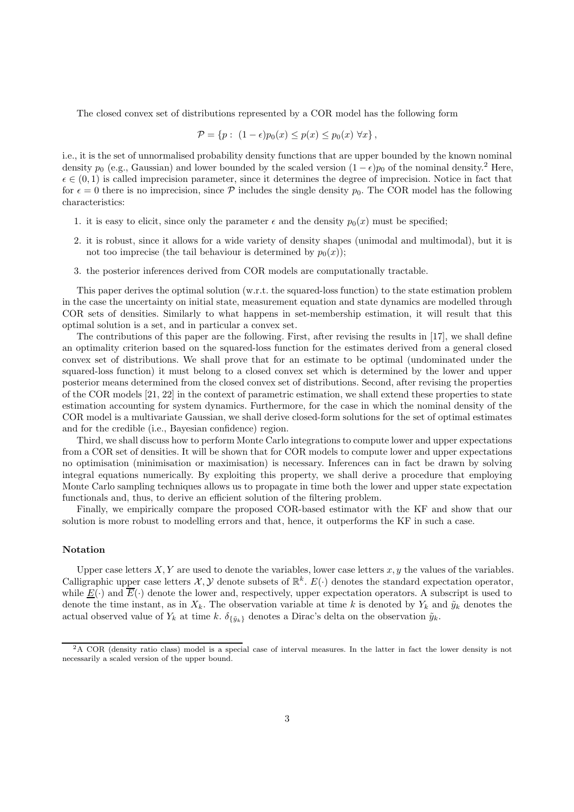The closed convex set of distributions represented by a COR model has the following form

$$
\mathcal{P} = \{p: (1 - \epsilon)p_0(x) \le p(x) \le p_0(x) \,\forall x\},\
$$

i.e., it is the set of unnormalised probability density functions that are upper bounded by the known nominal density  $p_0$  (e.g., Gaussian) and lower bounded by the scaled version  $(1 - \epsilon)p_0$  of the nominal density.<sup>[2](#page-2-0)</sup> Here,  $\epsilon \in (0,1)$  is called imprecision parameter, since it determines the degree of imprecision. Notice in fact that for  $\epsilon = 0$  there is no imprecision, since  $\mathcal P$  includes the single density  $p_0$ . The COR model has the following characteristics:

- 1. it is easy to elicit, since only the parameter  $\epsilon$  and the density  $p_0(x)$  must be specified;
- 2. it is robust, since it allows for a wide variety of density shapes (unimodal and multimodal), but it is not too imprecise (the tail behaviour is determined by  $p_0(x)$ );
- 3. the posterior inferences derived from COR models are computationally tractable.

This paper derives the optimal solution (w.r.t. the squared-loss function) to the state estimation problem in the case the uncertainty on initial state, measurement equation and state dynamics are modelled through COR sets of densities. Similarly to what happens in set-membership estimation, it will result that this optimal solution is a set, and in particular a convex set.

The contributions of this paper are the following. First, after revising the results in [\[17\]](#page-27-8), we shall define an optimality criterion based on the squared-loss function for the estimates derived from a general closed convex set of distributions. We shall prove that for an estimate to be optimal (undominated under the squared-loss function) it must belong to a closed convex set which is determined by the lower and upper posterior means determined from the closed convex set of distributions. Second, after revising the properties of the COR models [\[21,](#page-27-12) [22](#page-27-13)] in the context of parametric estimation, we shall extend these properties to state estimation accounting for system dynamics. Furthermore, for the case in which the nominal density of the COR model is a multivariate Gaussian, we shall derive closed-form solutions for the set of optimal estimates and for the credible (i.e., Bayesian confidence) region.

Third, we shall discuss how to perform Monte Carlo integrations to compute lower and upper expectations from a COR set of densities. It will be shown that for COR models to compute lower and upper expectations no optimisation (minimisation or maximisation) is necessary. Inferences can in fact be drawn by solving integral equations numerically. By exploiting this property, we shall derive a procedure that employing Monte Carlo sampling techniques allows us to propagate in time both the lower and upper state expectation functionals and, thus, to derive an efficient solution of the filtering problem.

Finally, we empirically compare the proposed COR-based estimator with the KF and show that our solution is more robust to modelling errors and that, hence, it outperforms the KF in such a case.

#### Notation

Upper case letters  $X, Y$  are used to denote the variables, lower case letters  $x, y$  the values of the variables. Calligraphic upper case letters  $\mathcal{X}, \mathcal{Y}$  denote subsets of  $\mathbb{R}^k$ .  $E(\cdot)$  denotes the standard expectation operator, while  $\underline{E}(\cdot)$  and  $\overline{E}(\cdot)$  denote the lower and, respectively, upper expectation operators. A subscript is used to denote the time instant, as in  $X_k$ . The observation variable at time k is denoted by  $Y_k$  and  $\tilde{y}_k$  denotes the actual observed value of  $Y_k$  at time k.  $\delta_{\{\tilde{y}_k\}}$  denotes a Dirac's delta on the observation  $\tilde{y}_k$ .

<span id="page-2-0"></span><sup>2</sup>A COR (density ratio class) model is a special case of interval measures. In the latter in fact the lower density is not necessarily a scaled version of the upper bound.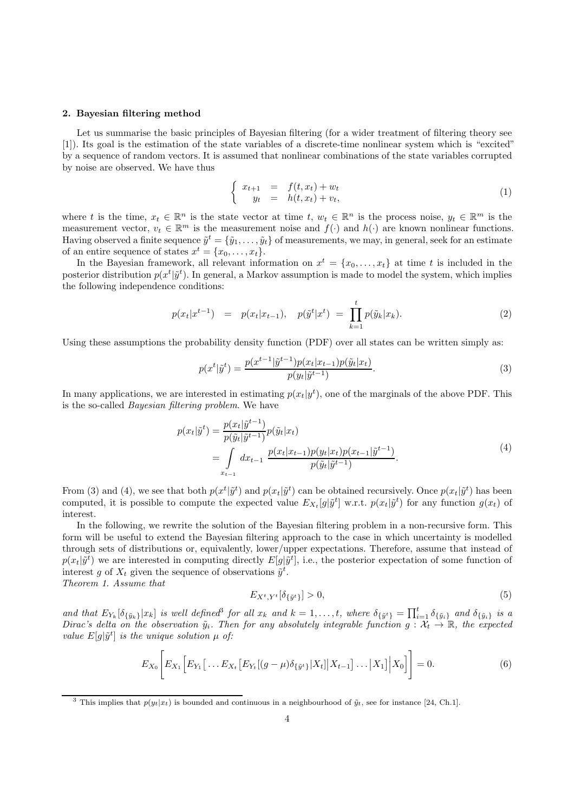### <span id="page-3-6"></span>2. Bayesian filtering method

Let us summarise the basic principles of Bayesian filtering (for a wider treatment of filtering theory see [\[1](#page-26-0)]). Its goal is the estimation of the state variables of a discrete-time nonlinear system which is "excited" by a sequence of random vectors. It is assumed that nonlinear combinations of the state variables corrupted by noise are observed. We have thus

<span id="page-3-5"></span>
$$
\begin{cases}\n x_{t+1} = f(t, x_t) + w_t \\
 y_t = h(t, x_t) + v_t,\n\end{cases} (1)
$$

where t is the time,  $x_t \in \mathbb{R}^n$  is the state vector at time  $t, w_t \in \mathbb{R}^n$  is the process noise,  $y_t \in \mathbb{R}^m$  is the measurement vector,  $v_t \in \mathbb{R}^m$  is the measurement noise and  $f(\cdot)$  and  $h(\cdot)$  are known nonlinear functions. Having observed a finite sequence  $\tilde{y}^t = \{\tilde{y}_1, \ldots, \tilde{y}_t\}$  of measurements, we may, in general, seek for an estimate of an entire sequence of states  $x^t = \{x_0, \ldots, x_t\}.$ 

In the Bayesian framework, all relevant information on  $x^t = \{x_0, \ldots, x_t\}$  at time t is included in the posterior distribution  $p(x^t|\tilde{y}^t)$ . In general, a Markov assumption is made to model the system, which implies the following independence conditions:

<span id="page-3-7"></span>
$$
p(x_t|x^{t-1}) = p(x_t|x_{t-1}), \quad p(\tilde{y}^t|x^t) = \prod_{k=1}^t p(\tilde{y}_k|x_k). \tag{2}
$$

Using these assumptions the probability density function (PDF) over all states can be written simply as:

<span id="page-3-0"></span>
$$
p(x^t|\tilde{y}^t) = \frac{p(x^{t-1}|\tilde{y}^{t-1})p(x_t|x_{t-1})p(\tilde{y}_t|x_t)}{p(y_t|\tilde{y}^{t-1})}.
$$
\n(3)

In many applications, we are interested in estimating  $p(x_t|y^t)$ , one of the marginals of the above PDF. This is the so-called Bayesian filtering problem. We have

<span id="page-3-1"></span>
$$
p(x_t|\tilde{y}^t) = \frac{p(x_t|\tilde{y}^{t-1})}{p(\tilde{y}_t|\tilde{y}^{t-1})} p(\tilde{y}_t|x_t)
$$
  
= 
$$
\int_{x_{t-1}} dx_{t-1} \frac{p(x_t|x_{t-1})p(y_t|x_t)p(x_{t-1}|\tilde{y}^{t-1})}{p(\tilde{y}_t|\tilde{y}^{t-1})}.
$$
 (4)

From [\(3\)](#page-3-0) and [\(4\)](#page-3-1), we see that both  $p(x^t|\tilde{y}^t)$  and  $p(x_t|\tilde{y}^t)$  can be obtained recursively. Once  $p(x_t|\tilde{y}^t)$  has been computed, it is possible to compute the expected value  $E_{X_t}[g|\tilde{y}^t]$  w.r.t.  $p(x_t|\tilde{y}^t)$  for any function  $g(x_t)$  of interest.

In the following, we rewrite the solution of the Bayesian filtering problem in a non-recursive form. This form will be useful to extend the Bayesian filtering approach to the case in which uncertainty is modelled through sets of distributions or, equivalently, lower/upper expectations. Therefore, assume that instead of  $p(x_t|\tilde{y}^t)$  we are interested in computing directly  $E[g|\tilde{y}^t]$ , i.e., the posterior expectation of some function of interest g of  $X_t$  given the sequence of observations  $\tilde{y}^t$ .

Theorem 1. Assume that

<span id="page-3-4"></span>
$$
E_{X^t, Y^t}[\delta_{\{\tilde{y}^t\}}] > 0,\tag{5}
$$

and that  $E_{Y_k}[\delta_{\{\tilde{y}_k\}}|x_k]$  is well defined<sup>[3](#page-3-2)</sup> for all  $x_k$  and  $k = 1, \ldots, t$ , where  $\delta_{\{\tilde{y}^t\}} = \prod_{i=1}^t \delta_{\{\tilde{y}_i\}}$  and  $\delta_{\{\tilde{y}_i\}}$  is a Dirac's delta on the observation  $\tilde{y}_i$ . Then for any absolutely integrable function  $g: \mathcal{X}_t \to \mathbb{R}$ , the expected value  $E[g|\tilde{y}^t]$  is the unique solution  $\mu$  of:

<span id="page-3-3"></span>
$$
E_{X_0}\left[E_{X_1}\left[E_{Y_1}\left[\dots E_{X_t}\left[E_{Y_t}\left[(g-\mu)\delta_{\{\tilde{y}^t\}}|X_t|\big|X_{t-1}\right]\dots|X_1\right]\big|X_0\right]\right]=0.\tag{6}
$$

<span id="page-3-2"></span><sup>&</sup>lt;sup>3</sup> This implies that  $p(y_t|x_t)$  is bounded and continuous in a neighbourhood of  $\tilde{y}_t$ , see for instance [\[24](#page-27-15), Ch.1].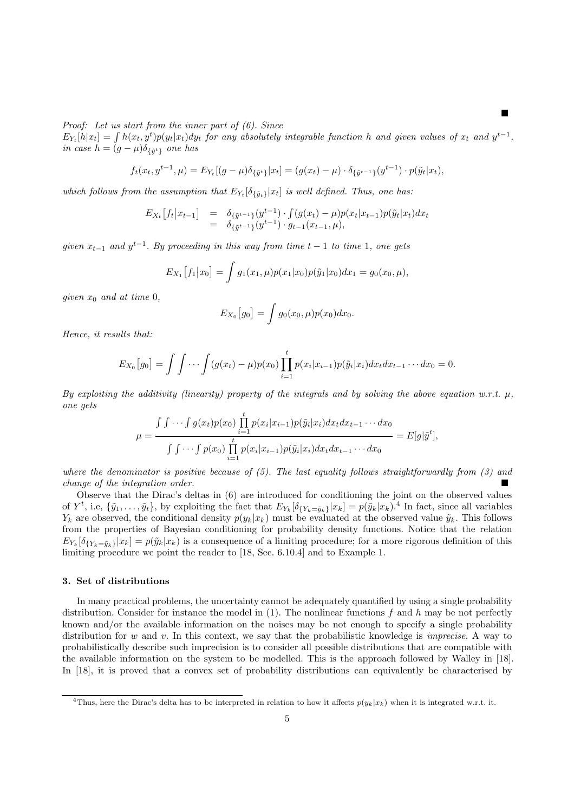Proof: Let us start from the inner part of [\(6\)](#page-3-3). Since

 $E_{Y_t}[h|x_t] = \int h(x_t, y^t)p(y_t|x_t)dy_t$  for any absolutely integrable function h and given values of  $x_t$  and  $y^{t-1}$ , in case  $h = (g - \mu)\delta_{\{\tilde{y}^t\}}$  one has

 $\blacksquare$ 

$$
f_t(x_t, y^{t-1}, \mu) = E_{Y_t}[(g - \mu)\delta_{\{\tilde{y}^t\}}|x_t] = (g(x_t) - \mu) \cdot \delta_{\{\tilde{y}^{t-1}\}}(y^{t-1}) \cdot p(\tilde{y}_t|x_t),
$$

which follows from the assumption that  $E_{Y_t}[\delta_{\{\tilde{y}_t\}}|x_t]$  is well defined. Thus, one has:

$$
E_{X_t}[f_t|x_{t-1}] = \delta_{\{\tilde{y}^{t-1}\}}(y^{t-1}) \cdot \int (g(x_t) - \mu) p(x_t|x_{t-1}) p(\tilde{y}_t|x_t) dx_t
$$
  
=  $\delta_{\{\tilde{y}^{t-1}\}}(y^{t-1}) \cdot g_{t-1}(x_{t-1}, \mu),$ 

given  $x_{t-1}$  and  $y^{t-1}$ . By proceeding in this way from time  $t-1$  to time 1, one gets

$$
E_{X_1}[f_1|x_0] = \int g_1(x_1,\mu)p(x_1|x_0)p(\tilde{y}_1|x_0)dx_1 = g_0(x_0,\mu),
$$

given  $x_0$  and at time 0,

$$
E_{X_0}[g_0] = \int g_0(x_0,\mu)p(x_0)dx_0.
$$

Hence, it results that:

$$
E_{X_0}[g_0] = \int \int \cdots \int (g(x_t) - \mu)p(x_0) \prod_{i=1}^t p(x_i|x_{i-1})p(\tilde{y}_i|x_i) dx_t dx_{t-1} \cdots dx_0 = 0.
$$

By exploiting the additivity (linearity) property of the integrals and by solving the above equation w.r.t.  $\mu$ , one gets

$$
\mu = \frac{\int \int \cdots \int g(x_t) p(x_0) \prod_{i=1}^t p(x_i | x_{i-1}) p(\tilde{y}_i | x_i) dx_t dx_{t-1} \cdots dx_0}{\int \int \cdots \int p(x_0) \prod_{i=1}^t p(x_i | x_{i-1}) p(\tilde{y}_i | x_i) dx_t dx_{t-1} \cdots dx_0} = E[g] \tilde{y}^t],
$$

where the denominator is positive because of  $(5)$ . The last equality follows straightforwardly from  $(3)$  and change of the integration order.

Observe that the Dirac's deltas in [\(6\)](#page-3-3) are introduced for conditioning the joint on the observed values of  $Y^t$ , i.e,  $\{\tilde{y}_1, \ldots, \tilde{y}_t\}$ , by exploiting the fact that  $E_{Y_k}[\delta_{\{Y_k = \tilde{y}_k\}} | x_k] = p(\tilde{y}_k | x_k)$ .<sup>[4](#page-4-0)</sup> In fact, since all variables  $Y_k$  are observed, the conditional density  $p(y_k|x_k)$  must be evaluated at the observed value  $\tilde{y}_k$ . This follows from the properties of Bayesian conditioning for probability density functions. Notice that the relation  $E_{Y_k}[\delta_{\{Y_k = \tilde{y}_k\}}|x_k] = p(\tilde{y}_k|x_k)$  is a consequence of a limiting procedure; for a more rigorous definition of this limiting procedure we point the reader to [\[18](#page-27-9), Sec. 6.10.4] and to Example [1.](#page-12-0)

#### <span id="page-4-1"></span>3. Set of distributions

In many practical problems, the uncertainty cannot be adequately quantified by using a single probability distribution. Consider for instance the model in  $(1)$ . The nonlinear functions f and h may be not perfectly known and/or the available information on the noises may be not enough to specify a single probability distribution for w and v. In this context, we say that the probabilistic knowledge is *imprecise*. A way to probabilistically describe such imprecision is to consider all possible distributions that are compatible with the available information on the system to be modelled. This is the approach followed by Walley in [\[18](#page-27-9)]. In [\[18](#page-27-9)], it is proved that a convex set of probability distributions can equivalently be characterised by

<span id="page-4-0"></span><sup>&</sup>lt;sup>4</sup>Thus, here the Dirac's delta has to be interpreted in relation to how it affects  $p(y_k|x_k)$  when it is integrated w.r.t. it.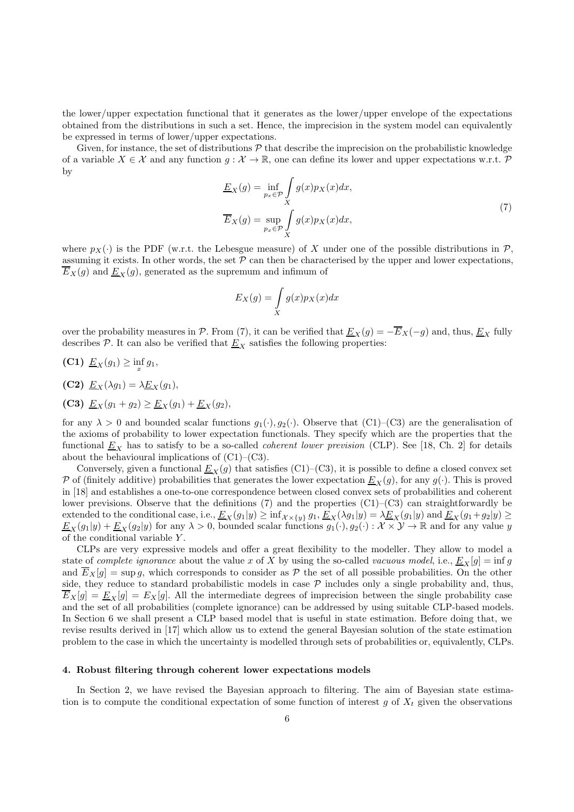the lower/upper expectation functional that it generates as the lower/upper envelope of the expectations obtained from the distributions in such a set. Hence, the imprecision in the system model can equivalently be expressed in terms of lower/upper expectations.

Given, for instance, the set of distributions  $P$  that describe the imprecision on the probabilistic knowledge of a variable  $X \in \mathcal{X}$  and any function  $q : \mathcal{X} \to \mathbb{R}$ , one can define its lower and upper expectations w.r.t. P by

<span id="page-5-0"></span>
$$
\underline{E}_X(g) = \inf_{p_x \in \mathcal{P}} \int_X g(x) p_X(x) dx,
$$
\n
$$
\overline{E}_X(g) = \sup_{p_x \in \mathcal{P}} \int_X g(x) p_X(x) dx,
$$
\n(7)

where  $p_X(\cdot)$  is the PDF (w.r.t. the Lebesgue measure) of X under one of the possible distributions in P, assuming it exists. In other words, the set  $P$  can then be characterised by the upper and lower expectations,  $\overline{E}_X(g)$  and  $\underline{E}_X(g)$ , generated as the supremum and infimum of

$$
E_X(g) = \int\limits_X g(x) p_X(x) dx
$$

over the probability measures in P. From [\(7\)](#page-5-0), it can be verified that  $\underline{E}_X(g) = -\overline{E}_X(-g)$  and, thus,  $\underline{E}_X$  fully describes  $P$ . It can also be verified that  $\underline{E}_X$  satisfies the following properties:

- (C1)  $E_X(g_1) \ge \inf_x g_1$ ,
- (C2)  $\underline{E}_X(\lambda g_1) = \lambda \underline{E}_X(g_1),$
- (C3)  $\underline{E}_X(g_1+g_2) \geq \underline{E}_X(g_1) + \underline{E}_X(g_2),$

for any  $\lambda > 0$  and bounded scalar functions  $g_1(\cdot), g_2(\cdot)$ . Observe that (C1)–(C3) are the generalisation of the axioms of probability to lower expectation functionals. They specify which are the properties that the functional  $\underline{E}_X$  has to satisfy to be a so-called *coherent lower prevision* (CLP). See [\[18,](#page-27-9) Ch. 2] for details about the behavioural implications of  $(C1)$ – $(C3)$ .

Conversely, given a functional  $\underline{E}_X(g)$  that satisfies (C1)–(C3), it is possible to define a closed convex set P of (finitely additive) probabilities that generates the lower expectation  $\underline{E}_X(g)$ , for any  $g(\cdot)$ . This is proved in [\[18\]](#page-27-9) and establishes a one-to-one correspondence between closed convex sets of probabilities and coherent lower previsions. Observe that the definitions [\(7\)](#page-5-0) and the properties  $(C1)$ – $(C3)$  can straightforwardly be extended to the conditional case, i.e.,  $\underline{E}_X(g_1|y) \ge \inf_{\mathcal{X} \times \{y\}} g_1$ ,  $\underline{E}_X(\lambda g_1|y) = \lambda \underline{E}_X(g_1|y)$  and  $\underline{E}_X(g_1+g_2|y) \ge \prod_{i=1}^n \lambda_i$  $\underline{E}_X(g_1|y) + \underline{E}_X(g_2|y)$  for any  $\lambda > 0$ , bounded scalar functions  $g_1(\cdot), g_2(\cdot) : \mathcal{X} \times \mathcal{Y} \to \mathbb{R}$  and for any value y of the conditional variable Y .

CLPs are very expressive models and offer a great flexibility to the modeller. They allow to model a state of *complete ignorance* about the value x of X by using the so-called *vacuous model*, i.e.,  $\underline{E}_X[g] = \inf g$ and  $\overline{E}_X[g] = \sup g$ , which corresponds to consider as P the set of all possible probabilities. On the other side, they reduce to standard probabilistic models in case  $P$  includes only a single probability and, thus,  $\overline{E}_X[g] = \underline{E}_X[g] = E_X[g]$ . All the intermediate degrees of imprecision between the single probability case and the set of all probabilities (complete ignorance) can be addressed by using suitable CLP-based models. In Section [6](#page-8-0) we shall present a CLP based model that is useful in state estimation. Before doing that, we revise results derived in [\[17\]](#page-27-8) which allow us to extend the general Bayesian solution of the state estimation problem to the case in which the uncertainty is modelled through sets of probabilities or, equivalently, CLPs.

#### 4. Robust filtering through coherent lower expectations models

In Section [2,](#page-3-6) we have revised the Bayesian approach to filtering. The aim of Bayesian state estimation is to compute the conditional expectation of some function of interest g of  $X_t$  given the observations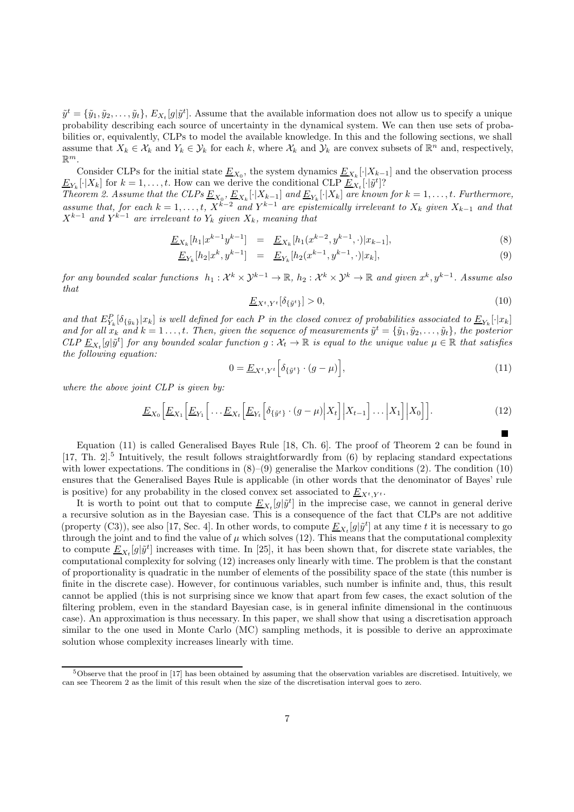$\tilde{y}^t = \{\tilde{y}_1, \tilde{y}_2, \dots, \tilde{y}_t\}, E_{X_t}[g|\tilde{y}^t]$ . Assume that the available information does not allow us to specify a unique probability describing each source of uncertainty in the dynamical system. We can then use sets of probabilities or, equivalently, CLPs to model the available knowledge. In this and the following sections, we shall assume that  $X_k \in \mathcal{X}_k$  and  $Y_k \in \mathcal{Y}_k$  for each k, where  $\mathcal{X}_k$  and  $\mathcal{Y}_k$  are convex subsets of  $\mathbb{R}^n$  and, respectively,  $\mathbb{R}^m$ .

Consider CLPs for the initial state  $\underline{E}_{X_0}$ , the system dynamics  $\underline{E}_{X_k}[\cdot|X_{k-1}]$  and the observation process  $\underline{E}_{Y_k}[\cdot|X_k]$  for  $k = 1, \ldots, t$ . How can we derive the conditional CLP  $\underline{E}_{X_t}[\cdot|\tilde{y}^t]$ ?

<span id="page-6-1"></span>Theorem 2. Assume that the CLPs  $\underline{E}_{X_0}, \underline{E}_{X_k}[\cdot|X_{k-1}]$  and  $\underline{E}_{Y_k}[\cdot|X_k]$  are known for  $k = 1, \ldots, t$ . Furthermore, assume that, for each  $k = 1, \ldots, t$ ,  $X^{k-2}$  and  $Y^{k-1}$  are epistemically irrelevant to  $X_k$  given  $X_{k-1}$  and that  $X^{k-1}$  and  $Y^{k-1}$  are irrelevant to  $Y_k$  given  $X_k$ , meaning that

<span id="page-6-3"></span>
$$
\underline{E}_{X_k}[h_1|x^{k-1}y^{k-1}] = \underline{E}_{X_k}[h_1(x^{k-2},y^{k-1},\cdot)|x_{k-1}],
$$
\n(8)

$$
\underline{E}_{Y_k}[h_2|x^k, y^{k-1}] = \underline{E}_{Y_k}[h_2(x^{k-1}, y^{k-1}, \cdot)|x_k],
$$
\n(9)

for any bounded scalar functions  $h_1: \mathcal{X}^k \times \mathcal{Y}^{k-1} \to \mathbb{R}$ ,  $h_2: \mathcal{X}^k \times \mathcal{Y}^k \to \mathbb{R}$  and given  $x^k, y^{k-1}$ . Assume also that

<span id="page-6-4"></span>
$$
\underline{E}_{X^t, Y^t}[\delta_{\{\tilde{y}^t\}}] > 0,\tag{10}
$$

and that  $E_{Y_k}^P[\delta_{\{\tilde{y}_k\}}|x_k]$  is well defined for each P in the closed convex of probabilities associated to  $\underline{E}_{Y_k}[\cdot|x_k]$ and for all  $x_k$  and  $k = 1, \ldots, t$ . Then, given the sequence of measurements  $\tilde{y}^t = {\tilde{y}_1, \tilde{y}_2, \ldots, \tilde{y}_t}$ , the posterior  $CLP \underline{E}_{X_t}[g|\tilde{y}^t]$  for any bounded scalar function  $g: \mathcal{X}_t \to \mathbb{R}$  is equal to the unique value  $\mu \in \mathbb{R}$  that satisfies the following equation:

<span id="page-6-0"></span>
$$
0 = \underline{E}_{X^t, Y^t} \left[ \delta_{\{\tilde{y}^t\}} \cdot (g - \mu) \right], \tag{11}
$$

where the above joint CLP is given by:

<span id="page-6-5"></span>
$$
\underline{E}_{X_0}\left[\underline{E}_{X_1}\left[\underline{E}_{Y_1}\left[\dots \underline{E}_{X_t}\left[\delta_{\{\tilde{y}^t\}}\cdot(g-\mu)\bigg|X_t\right]\bigg|X_{t-1}\right]\dots\bigg|X_1\right]\bigg|X_0\right]\right].\tag{12}
$$

Equation [\(11\)](#page-6-0) is called Generalised Bayes Rule [\[18](#page-27-9), Ch. 6]. The proof of Theorem [2](#page-6-1) can be found in [\[17](#page-27-8), Th. 2].<sup>[5](#page-6-2)</sup> Intuitively, the result follows straightforwardly from [\(6\)](#page-3-3) by replacing standard expectations with lower expectations. The conditions in  $(8)-(9)$  $(8)-(9)$  generalise the Markov conditions  $(2)$ . The condition  $(10)$ ensures that the Generalised Bayes Rule is applicable (in other words that the denominator of Bayes' rule is positive) for any probability in the closed convex set associated to  $E_{X^t|Y^t}$ .

It is worth to point out that to compute  $\underline{E}_{X_t}[g|\tilde{y}^t]$  in the imprecise case, we cannot in general derive a recursive solution as in the Bayesian case. This is a consequence of the fact that CLPs are not additive (property (C3)), see also [\[17,](#page-27-8) Sec. 4]. In other words, to compute  $\underline{E}_{X_t}[g|\tilde{y}^t]$  at any time t it is necessary to go through the joint and to find the value of  $\mu$  which solves [\(12\)](#page-6-5). This means that the computational complexity to compute  $\underline{E}_{X_t}[g|\tilde{y}^t]$  increases with time. In [\[25](#page-27-16)], it has been shown that, for discrete state variables, the computational complexity for solving [\(12\)](#page-6-5) increases only linearly with time. The problem is that the constant of proportionality is quadratic in the number of elements of the possibility space of the state (this number is finite in the discrete case). However, for continuous variables, such number is infinite and, thus, this result cannot be applied (this is not surprising since we know that apart from few cases, the exact solution of the filtering problem, even in the standard Bayesian case, is in general infinite dimensional in the continuous case). An approximation is thus necessary. In this paper, we shall show that using a discretisation approach similar to the one used in Monte Carlo (MC) sampling methods, it is possible to derive an approximate solution whose complexity increases linearly with time.

<span id="page-6-2"></span><sup>5</sup>Observe that the proof in [\[17\]](#page-27-8) has been obtained by assuming that the observation variables are discretised. Intuitively, we can see Theorem [2](#page-6-1) as the limit of this result when the size of the discretisation interval goes to zero.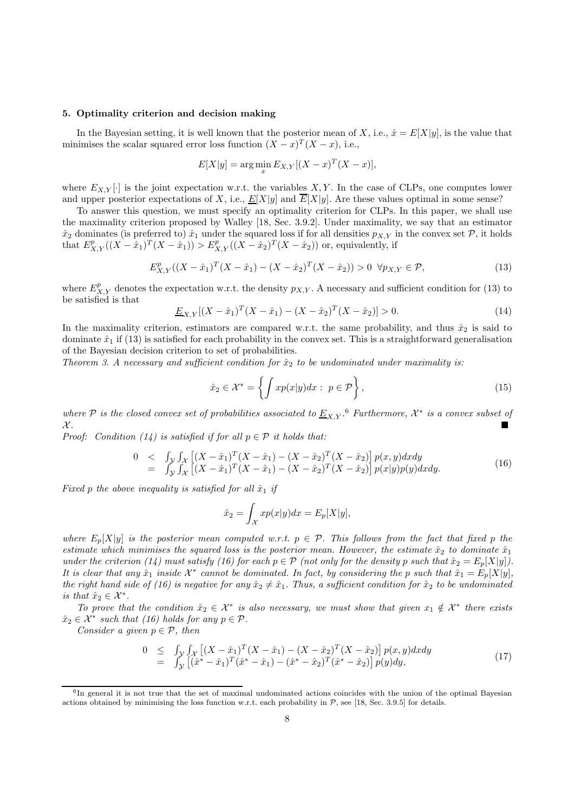# 5. Optimality criterion and decision making

In the Bayesian setting, it is well known that the posterior mean of X, i.e.,  $\hat{x} = E[X|y]$ , is the value that minimises the scalar squared error loss function  $(X - x)^T (X - x)$ , i.e.,

$$
E[X|y] = \arg\min_{x} E_{X,Y}[(X-x)^{T}(X-x)],
$$

where  $E_{X,Y}[\cdot]$  is the joint expectation w.r.t. the variables X, Y. In the case of CLPs, one computes lower and upper posterior expectations of X, i.e.,  $\underline{E}[X|y]$  and  $\overline{E}[X|y]$ . Are these values optimal in some sense?

To answer this question, we must specify an optimality criterion for CLPs. In this paper, we shall use the maximality criterion proposed by Walley [\[18,](#page-27-9) Sec. 3.9.2]. Under maximality, we say that an estimator  $\hat{x}_2$  dominates (is preferred to)  $\hat{x}_1$  under the squared loss if for all densities  $p_{X,Y}$  in the convex set  $\mathcal{P}$ , it holds that  $E_{X,Y}^p((X-\hat{x}_1)^T(X-\hat{x}_1)) > E_{X,Y}^p((X-\hat{x}_2)^T(X-\hat{x}_2))$  or, equivalently, if

<span id="page-7-0"></span>
$$
E_{X,Y}^p((X-\hat{x}_1)^T(X-\hat{x}_1)-(X-\hat{x}_2)^T(X-\hat{x}_2))>0 \ \forall p_{X,Y} \in \mathcal{P},\tag{13}
$$

where  $E_{X,Y}^p$  denotes the expectation w.r.t. the density  $p_{X,Y}$ . A necessary and sufficient condition for [\(13\)](#page-7-0) to be satisfied is that

<span id="page-7-2"></span>
$$
\underline{E}_{X,Y}[(X-\hat{x}_1)^T(X-\hat{x}_1)-(X-\hat{x}_2)^T(X-\hat{x}_2)]>0.
$$
\n(14)

In the maximality criterion, estimators are compared w.r.t. the same probability, and thus  $\hat{x}_2$  is said to dominate  $\hat{x}_1$  if [\(13\)](#page-7-0) is satisfied for each probability in the convex set. This is a straightforward generalisation of the Bayesian decision criterion to set of probabilities.

Theorem 3. A necessary and sufficient condition for  $\hat{x}_2$  to be undominated under maximality is:

<span id="page-7-5"></span>
$$
\hat{x}_2 \in \mathcal{X}^* = \left\{ \int x p(x|y) dx : \ p \in \mathcal{P} \right\},\tag{15}
$$

where  $\mathcal P$  is the closed convex set of probabilities associated to  $\underline{E}_{X,Y}.^6$  $\underline{E}_{X,Y}.^6$  Furthermore,  $\mathcal X^*$  is a convex subset of  $\mathcal{X}$ .

Proof: Condition [\(14\)](#page-7-2) is satisfied if for all  $p \in \mathcal{P}$  it holds that:

<span id="page-7-3"></span>
$$
\begin{array}{rcl}\n0 & < & \int_{\mathcal{Y}} \int_{\mathcal{X}} \left[ (X - \hat{x}_1)^T (X - \hat{x}_1) - (X - \hat{x}_2)^T (X - \hat{x}_2) \right] p(x, y) dx dy \\
& = & \int_{\mathcal{Y}} \int_{\mathcal{X}} \left[ (X - \hat{x}_1)^T (X - \hat{x}_1) - (X - \hat{x}_2)^T (X - \hat{x}_2) \right] p(x|y) p(y) dx dy.\n\end{array} \tag{16}
$$

Fixed p the above inequality is satisfied for all  $\hat{x}_1$  if

$$
\hat{x}_2 = \int_{\mathcal{X}} x p(x|y) dx = E_p[X|y],
$$

where  $E_p[X|y]$  is the posterior mean computed w.r.t.  $p \in \mathcal{P}$ . This follows from the fact that fixed p the estimate which minimises the squared loss is the posterior mean. However, the estimate  $\hat{x}_2$  to dominate  $\hat{x}_1$ under the criterion [\(14\)](#page-7-2) must satisfy [\(16\)](#page-7-3) for each  $p \in \mathcal{P}$  (not only for the density p such that  $\hat{x}_2 = E_p[X|y]$ ). It is clear that any  $\hat{x}_1$  inside  $\mathcal{X}^*$  cannot be dominated. In fact, by considering the p such that  $\hat{x}_1 = E_p[X|y]$ , the right hand side of [\(16\)](#page-7-3) is negative for any  $\hat{x}_2 \neq \hat{x}_1$ . Thus, a sufficient condition for  $\hat{x}_2$  to be undominated is that  $\hat{x}_2 \in \mathcal{X}^*$ .

To prove that the condition  $\hat{x}_2 \in \mathcal{X}^*$  is also necessary, we must show that given  $x_1 \notin \mathcal{X}^*$  there exists  $\hat{x}_2 \in \mathcal{X}^*$  such that [\(16\)](#page-7-3) holds for any  $p \in \mathcal{P}$ .

Consider a given  $p \in \mathcal{P}$ , then

<span id="page-7-4"></span>
$$
0 \leq \int_{\mathcal{Y}} \int_{\mathcal{X}} \left[ (X - \hat{x}_1)^T (X - \hat{x}_1) - (X - \hat{x}_2)^T (X - \hat{x}_2) \right] p(x, y) dx dy
$$
  
\n
$$
= \int_{\mathcal{Y}} \left[ (\hat{x}^* - \hat{x}_1)^T (\hat{x}^* - \hat{x}_1) - (\hat{x}^* - \hat{x}_2)^T (\hat{x}^* - \hat{x}_2) \right] p(y) dy,
$$
\n(17)

<span id="page-7-1"></span><sup>&</sup>lt;sup>6</sup>In general it is not true that the set of maximal undominated actions coincides with the union of the optimal Bayesian actions obtained by minimising the loss function w.r.t. each probability in  $P$ , see [\[18](#page-27-9), Sec. 3.9.5] for details.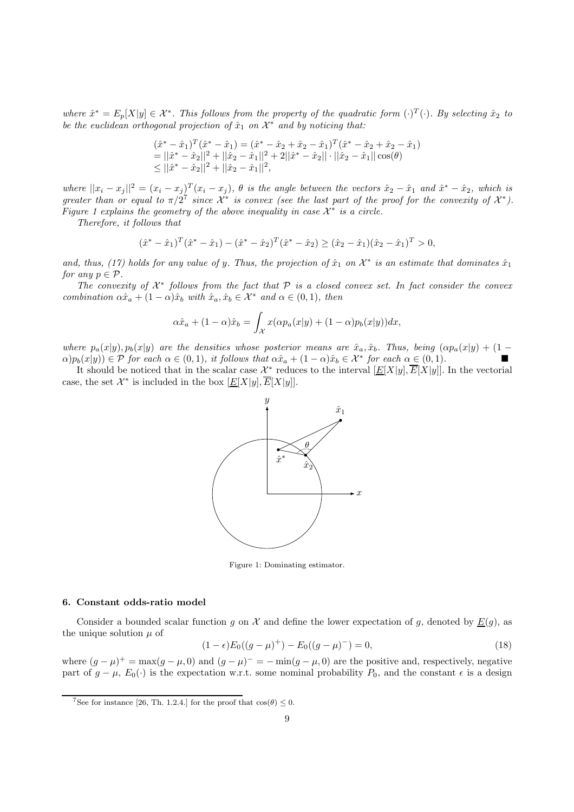where  $\hat{x}^* = E_p[X|y] \in \mathcal{X}^*$ . This follows from the property of the quadratic form  $(\cdot)^T(\cdot)$ . By selecting  $\hat{x}_2$  to be the euclidean orthogonal projection of  $\hat{x}_1$  on  $\mathcal{X}^*$  and by noticing that:

$$
(\hat{x}^* - \hat{x}_1)^T (\hat{x}^* - \hat{x}_1) = (\hat{x}^* - \hat{x}_2 + \hat{x}_2 - \hat{x}_1)^T (\hat{x}^* - \hat{x}_2 + \hat{x}_2 - \hat{x}_1)
$$
  
=  $||\hat{x}^* - \hat{x}_2||^2 + ||\hat{x}_2 - \hat{x}_1||^2 + 2||\hat{x}^* - \hat{x}_2|| \cdot ||\hat{x}_2 - \hat{x}_1|| \cos(\theta)$   
 $\le ||\hat{x}^* - \hat{x}_2||^2 + ||\hat{x}_2 - \hat{x}_1||^2,$ 

where  $||x_i - x_j||^2 = (x_i - x_j)^T (x_i - x_j)$ ,  $\theta$  is the angle between the vectors  $\hat{x}_2 - \hat{x}_1$  and  $\hat{x}^* - \hat{x}_2$ , which is greater than or equal to  $\pi/2^7$  $\pi/2^7$  since  $\mathcal{X}^*$  is convex (see the last part of the proof for the convexity of  $\mathcal{X}^*$ ). Figure [1](#page-8-2) explains the geometry of the above inequality in case  $\mathcal{X}^*$  is a circle.

Therefore, it follows that

$$
(\hat{x}^* - \hat{x}_1)^T (\hat{x}^* - \hat{x}_1) - (\hat{x}^* - \hat{x}_2)^T (\hat{x}^* - \hat{x}_2) \geq (\hat{x}_2 - \hat{x}_1)(\hat{x}_2 - \hat{x}_1)^T > 0,
$$

and, thus, [\(17\)](#page-7-4) holds for any value of y. Thus, the projection of  $\hat{x}_1$  on  $\mathcal{X}^*$  is an estimate that dominates  $\hat{x}_1$ for any  $p \in \mathcal{P}$ .

The convexity of  $\mathcal{X}^*$  follows from the fact that  $\mathcal P$  is a closed convex set. In fact consider the convex combination  $\alpha \hat{x}_a + (1 - \alpha)\hat{x}_b$  with  $\hat{x}_a, \hat{x}_b \in \mathcal{X}^*$  and  $\alpha \in (0, 1)$ , then

$$
\alpha \hat{x}_a + (1 - \alpha)\hat{x}_b = \int_{\mathcal{X}} x(\alpha p_a(x|y) + (1 - \alpha)p_b(x|y))dx,
$$

where  $p_a(x|y)$ ,  $p_b(x|y)$  are the densities whose posterior means are  $\hat{x}_a, \hat{x}_b$ . Thus, being  $(\alpha p_a(x|y) + (1 \alpha$ ) $p_b(x|y)$   $\in \mathcal{P}$  for each  $\alpha \in (0,1)$ , it follows that  $\alpha \hat{x}_a + (1-\alpha)\hat{x}_b \in \mathcal{X}^*$  for each  $\alpha \in (0,1)$ .

It should be noticed that in the scalar case  $\mathcal{X}^*$  reduces to the interval  $[\underline{E}[X|y], E[X|y]]$ . In the vectorial case, the set  $\mathcal{X}^*$  is included in the box  $[\underline{E}[X|y], E[X|y]]$ .



<span id="page-8-2"></span>Figure 1: Dominating estimator.

#### <span id="page-8-0"></span>6. Constant odds-ratio model

Consider a bounded scalar function g on X and define the lower expectation of g, denoted by  $E(q)$ , as the unique solution  $\mu$  of

<span id="page-8-3"></span>
$$
(1 - \epsilon)E_0((g - \mu)^+) - E_0((g - \mu)^-) = 0,
$$
\n(18)

where  $(g - \mu)^+ = \max(g - \mu, 0)$  and  $(g - \mu)^- = -\min(g - \mu, 0)$  are the positive and, respectively, negative part of  $g - \mu$ ,  $E_0(\cdot)$  is the expectation w.r.t. some nominal probability  $P_0$ , and the constant  $\epsilon$  is a design

<span id="page-8-1"></span><sup>&</sup>lt;sup>7</sup>See for instance [\[26,](#page-27-17) Th. 1.2.4.] for the proof that  $cos(\theta) \leq 0$ .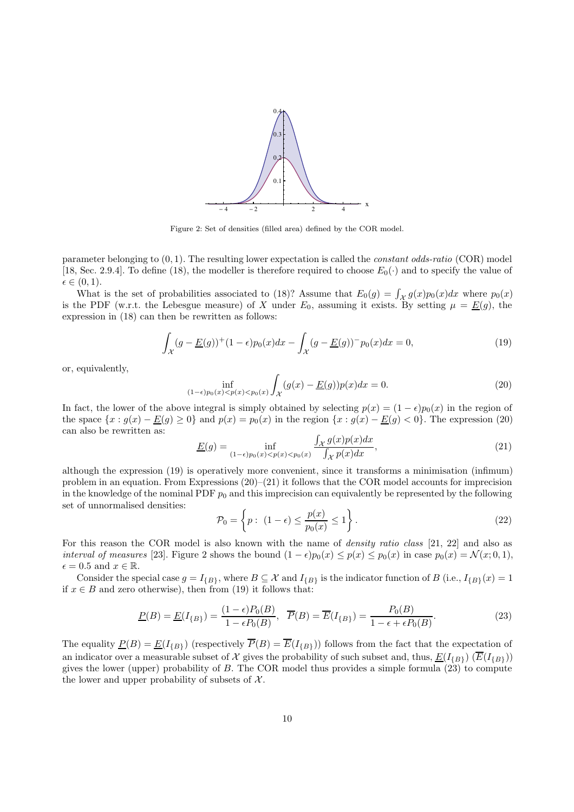

<span id="page-9-3"></span>Figure 2: Set of densities (filled area) defined by the COR model.

parameter belonging to (0, 1). The resulting lower expectation is called the constant odds-ratio (COR) model [\[18](#page-27-9), Sec. 2.9.4]. To define [\(18\)](#page-8-3), the modeller is therefore required to choose  $E_0(\cdot)$  and to specify the value of  $\epsilon \in (0, 1)$ .

What is the set of probabilities associated to [\(18\)](#page-8-3)? Assume that  $E_0(g) = \int_{\mathcal{X}} g(x)p_0(x)dx$  where  $p_0(x)$ is the PDF (w.r.t. the Lebesgue measure) of X under  $E_0$ , assuming it exists. By setting  $\mu = E(g)$ , the expression in [\(18\)](#page-8-3) can then be rewritten as follows:

<span id="page-9-1"></span>
$$
\int_{\mathcal{X}} (g - \underline{E}(g))^+(1 - \epsilon)p_0(x)dx - \int_{\mathcal{X}} (g - \underline{E}(g))^{-}p_0(x)dx = 0,
$$
\n(19)

or, equivalently,

<span id="page-9-0"></span>
$$
\inf_{(1-\epsilon)p_0(x) < p(x) < p_0(x)} \int_{\mathcal{X}} (g(x) - \underline{E}(g)) p(x) dx = 0. \tag{20}
$$

In fact, the lower of the above integral is simply obtained by selecting  $p(x) = (1 - \epsilon)p_0(x)$  in the region of the space  $\{x : g(x) - \underline{E}(g) \ge 0\}$  and  $p(x) = p_0(x)$  in the region  $\{x : g(x) - \underline{E}(g) < 0\}$ . The expression [\(20\)](#page-9-0) can also be rewritten as:

<span id="page-9-2"></span>
$$
\underline{E}(g) = \inf_{(1-\epsilon)p_0(x) < p(x) < p_0(x)} \frac{\int_{\mathcal{X}} g(x)p(x)dx}{\int_{\mathcal{X}} p(x)dx},\tag{21}
$$

although the expression [\(19\)](#page-9-1) is operatively more convenient, since it transforms a minimisation (infimum) problem in an equation. From Expressions  $(20)$ – $(21)$  it follows that the COR model accounts for imprecision in the knowledge of the nominal PDF  $p_0$  and this imprecision can equivalently be represented by the following set of unnormalised densities:

<span id="page-9-5"></span>
$$
\mathcal{P}_0 = \left\{ p : (1 - \epsilon) \le \frac{p(x)}{p_0(x)} \le 1 \right\}.
$$
\n
$$
(22)
$$

For this reason the COR model is also known with the name of density ratio class [\[21](#page-27-12), [22](#page-27-13)] and also as interval of measures [\[23\]](#page-27-14). Figure [2](#page-9-3) shows the bound  $(1 - \epsilon)p_0(x) \le p(x) \le p_0(x)$  in case  $p_0(x) = \mathcal{N}(x; 0, 1)$ ,  $\epsilon = 0.5$  and  $x \in \mathbb{R}$ .

Consider the special case  $g = I_{\{B\}}$ , where  $B \subseteq \mathcal{X}$  and  $I_{\{B\}}$  is the indicator function of B (i.e.,  $I_{\{B\}}(x) = 1$ if  $x \in B$  and zero otherwise), then from [\(19\)](#page-9-1) it follows that:

<span id="page-9-4"></span>
$$
\underline{P}(B) = \underline{E}(I_{\{B\}}) = \frac{(1 - \epsilon)P_0(B)}{1 - \epsilon P_0(B)}, \quad \overline{P}(B) = \overline{E}(I_{\{B\}}) = \frac{P_0(B)}{1 - \epsilon + \epsilon P_0(B)}.\tag{23}
$$

The equality  $\underline{P}(B) = \underline{E}(I_{\{B\}})$  (respectively  $\overline{P}(B) = \overline{E}(I_{\{B\}})$ ) follows from the fact that the expectation of an indicator over a measurable subset of X gives the probability of such subset and, thus,  $E(I_{RB}) (\overline{E}(I_{RB}))$ gives the lower (upper) probability of B. The COR model thus provides a simple formula  $(23)$  to compute the lower and upper probability of subsets of  $X$ .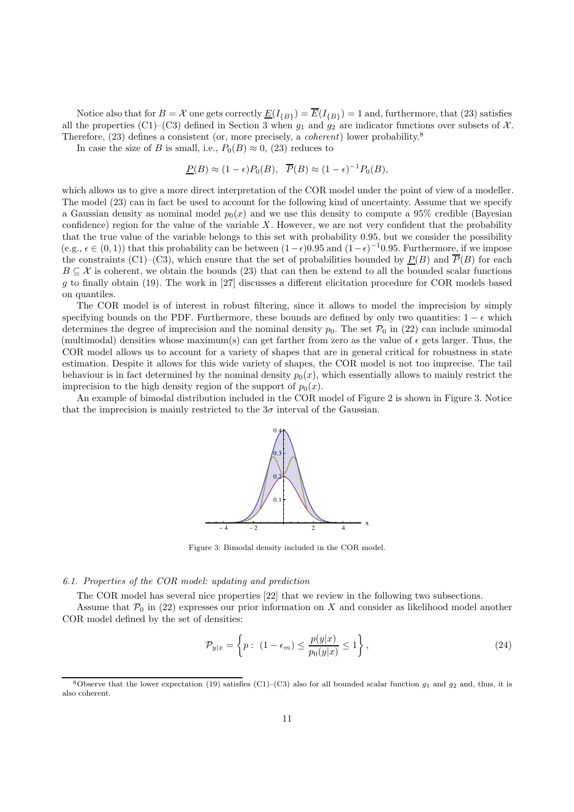Notice also that for  $B = X$  one gets correctly  $\underline{E}(I_{\{B\}}) = \overline{E}(I_{\{B\}}) = 1$  and, furthermore, that [\(23\)](#page-9-4) satisfies all the properties (C1)–(C3) defined in Section [3](#page-4-1) when  $g_1$  and  $g_2$  are indicator functions over subsets of X. Therefore,  $(23)$  defines a consistent (or, more precisely, a *coherent*) lower probability.<sup>[8](#page-10-0)</sup>

In case the size of B is small, i.e.,  $P_0(B) \approx 0$ , [\(23\)](#page-9-4) reduces to

$$
\underline{P}(B) \approx (1 - \epsilon) P_0(B), \quad \overline{P}(B) \approx (1 - \epsilon)^{-1} P_0(B),
$$

which allows us to give a more direct interpretation of the COR model under the point of view of a modeller. The model [\(23\)](#page-9-4) can in fact be used to account for the following kind of uncertainty. Assume that we specify a Gaussian density as nominal model  $p_0(x)$  and we use this density to compute a 95% credible (Bayesian confidence) region for the value of the variable  $X$ . However, we are not very confident that the probability that the true value of the variable belongs to this set with probability 0.95, but we consider the possibility (e.g.,  $\epsilon \in (0,1)$ ) that this probability can be between  $(1-\epsilon)$ 0.95 and  $(1-\epsilon)^{-1}$ 0.95. Furthermore, if we impose the constraints (C1)–(C3), which ensure that the set of probabilities bounded by  $P(B)$  and  $\overline{P}(B)$  for each  $B \subseteq \mathcal{X}$  is coherent, we obtain the bounds [\(23\)](#page-9-4) that can then be extend to all the bounded scalar functions g to finally obtain [\(19\)](#page-9-1). The work in [\[27\]](#page-27-18) discusses a different elicitation procedure for COR models based on quantiles.

The COR model is of interest in robust filtering, since it allows to model the imprecision by simply specifying bounds on the PDF. Furthermore, these bounds are defined by only two quantities:  $1 - \epsilon$  which determines the degree of imprecision and the nominal density  $p_0$ . The set  $\mathcal{P}_0$  in [\(22\)](#page-9-5) can include unimodal (multimodal) densities whose maximum(s) can get farther from zero as the value of  $\epsilon$  gets larger. Thus, the COR model allows us to account for a variety of shapes that are in general critical for robustness in state estimation. Despite it allows for this wide variety of shapes, the COR model is not too imprecise. The tail behaviour is in fact determined by the nominal density  $p_0(x)$ , which essentially allows to mainly restrict the imprecision to the high density region of the support of  $p_0(x)$ .

An example of bimodal distribution included in the COR model of Figure [2](#page-9-3) is shown in Figure [3.](#page-10-1) Notice that the imprecision is mainly restricted to the  $3\sigma$  interval of the Gaussian.



<span id="page-10-1"></span>Figure 3: Bimodal density included in the COR model.

#### 6.1. Properties of the COR model: updating and prediction

The COR model has several nice properties [\[22\]](#page-27-13) that we review in the following two subsections.

Assume that  $\mathcal{P}_0$  in [\(22\)](#page-9-5) expresses our prior information on X and consider as likelihood model another COR model defined by the set of densities:

<span id="page-10-2"></span>
$$
\mathcal{P}_{y|x} = \left\{ p : \left( 1 - \epsilon_m \right) \le \frac{p(y|x)}{p_0(y|x)} \le 1 \right\},\tag{24}
$$

<span id="page-10-0"></span><sup>&</sup>lt;sup>8</sup>Observe that the lower expectation [\(19\)](#page-9-1) satisfies (C1)–(C3) also for all bounded scalar function  $g_1$  and  $g_2$  and, thus, it is also coherent.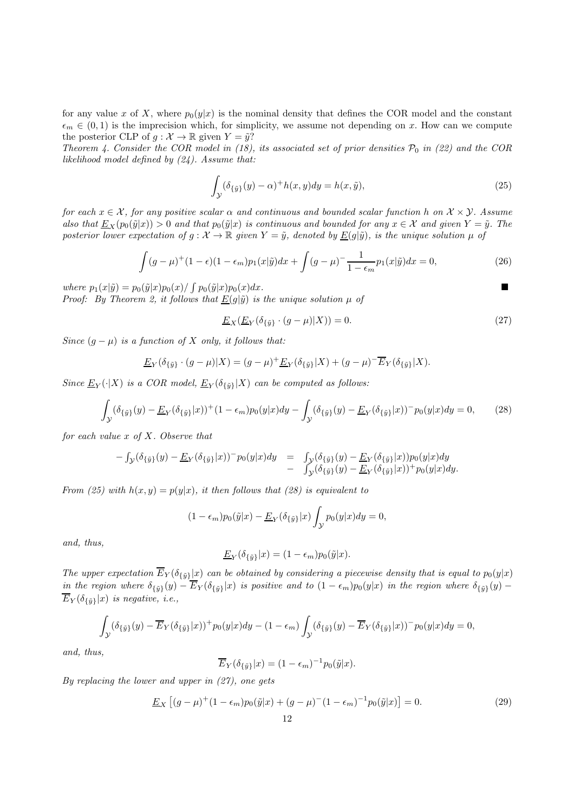for any value x of X, where  $p_0(y|x)$  is the nominal density that defines the COR model and the constant  $\epsilon_m \in (0,1)$  is the imprecision which, for simplicity, we assume not depending on x. How can we compute the posterior CLP of  $g : \mathcal{X} \to \mathbb{R}$  given  $Y = \tilde{y}$ ?

Theorem 4. Consider the COR model in [\(18\)](#page-8-3), its associated set of prior densities  $\mathcal{P}_0$  in [\(22\)](#page-9-5) and the COR likelihood model defined by [\(24\)](#page-10-2). Assume that:

<span id="page-11-4"></span><span id="page-11-0"></span>
$$
\int_{\mathcal{Y}} (\delta_{\{\tilde{y}\}}(y) - \alpha)^{+} h(x, y) dy = h(x, \tilde{y}), \tag{25}
$$

for each  $x \in \mathcal{X}$ , for any positive scalar  $\alpha$  and continuous and bounded scalar function h on  $\mathcal{X} \times \mathcal{Y}$ . Assume also that  $\underline{E}_X(p_0(\tilde{y}|x)) > 0$  and that  $p_0(\tilde{y}|x)$  is continuous and bounded for any  $x \in \mathcal{X}$  and given  $Y = \tilde{y}$ . The posterior lower expectation of  $g: \mathcal{X} \to \mathbb{R}$  given  $Y = \tilde{y}$ , denoted by  $\underline{E}(g|\tilde{y})$ , is the unique solution  $\mu$  of

<span id="page-11-3"></span>
$$
\int (g-\mu)^{+}(1-\epsilon)(1-\epsilon_{m})p_{1}(x|\tilde{y})dx + \int (g-\mu)^{-}\frac{1}{1-\epsilon_{m}}p_{1}(x|\tilde{y})dx = 0,
$$
\n(26)

where  $p_1(x|\tilde{y}) = p_0(\tilde{y}|x)p_0(x)/\int p_0(\tilde{y}|x)p_0(x)dx$ .

Proof: By Theorem [2,](#page-6-1) it follows that  $\underline{E}(g|\tilde{y})$  is the unique solution  $\mu$  of

<span id="page-11-2"></span>
$$
\underline{E}_X(\underline{E}_Y(\delta_{\{\tilde{y}\}} \cdot (g - \mu)|X)) = 0. \tag{27}
$$

Since  $(g - \mu)$  is a function of X only, it follows that:

$$
\underline{E}_Y(\delta_{\{\tilde{y}\}} \cdot (g - \mu)|X) = (g - \mu)^+ \underline{E}_Y(\delta_{\{\tilde{y}\}}|X) + (g - \mu)^- \overline{E}_Y(\delta_{\{\tilde{y}\}}|X).
$$

Since  $\underline{E}_Y(\cdot|X)$  is a COR model,  $\underline{E}_Y(\delta_{\{\tilde{y}\}}|X)$  can be computed as follows:

<span id="page-11-1"></span>
$$
\int_{\mathcal{Y}} (\delta_{\{\tilde{y}\}}(y) - \underline{E}_Y(\delta_{\{\tilde{y}\}}|x))^{+} (1 - \epsilon_m) p_0(y|x) dy - \int_{\mathcal{Y}} (\delta_{\{\tilde{y}\}}(y) - \underline{E}_Y(\delta_{\{\tilde{y}\}}|x))^{-} p_0(y|x) dy = 0, \tag{28}
$$

for each value  $x$  of  $X$ . Observe that

$$
- \int_{\mathcal{Y}} (\delta_{\{\tilde{y}\}}(y) - \underline{E}_Y(\delta_{\{\tilde{y}\}}|x))^{-} p_0(y|x) dy = \int_{\mathcal{Y}} (\delta_{\{\tilde{y}\}}(y) - \underline{E}_Y(\delta_{\{\tilde{y}\}}|x)) p_0(y|x) dy - \int_{\mathcal{Y}} (\delta_{\{\tilde{y}\}}(y) - \underline{E}_Y(\delta_{\{\tilde{y}\}}|x))^{+} p_0(y|x) dy.
$$

From [\(25\)](#page-11-0) with  $h(x, y) = p(y|x)$ , it then follows that [\(28\)](#page-11-1) is equivalent to

$$
(1 - \epsilon_m) p_0(\tilde{y}|x) - \underline{E}_Y(\delta_{\{\tilde{y}\}}|x) \int_{\mathcal{Y}} p_0(y|x) dy = 0,
$$

and, thus,

$$
\underline{E}_Y(\delta_{\{\tilde{y}\}}|x) = (1-\epsilon_m)p_0(\tilde{y}|x).
$$

The upper expectation  $\overline{E}_Y(\delta_{\{\hat{y}\}}|x)$  can be obtained by considering a piecewise density that is equal to  $p_0(y|x)$ in the region where  $\delta_{\{\tilde{y}\}}(y) - \overline{E}_Y(\delta_{\{\tilde{y}\}}|x)$  is positive and to  $(1 - \epsilon_m)p_0(y|x)$  in the region where  $\delta_{\{\tilde{y}\}}(y)$  $\overline{E}_Y(\delta_{\{\tilde{y}\}}|x)$  is negative, i.e.,

$$
\int_{\mathcal{Y}} (\delta_{\{\tilde{y}\}}(y) - \overline{E}_Y(\delta_{\{\tilde{y}\}}|x)) + p_0(y|x)dy - (1 - \epsilon_m) \int_{\mathcal{Y}} (\delta_{\{\tilde{y}\}}(y) - \overline{E}_Y(\delta_{\{\tilde{y}\}}|x)) - p_0(y|x)dy = 0,
$$

and, thus,

$$
\overline{E}_Y(\delta_{\{\tilde{y}\}}|x) = (1 - \epsilon_m)^{-1} p_0(\tilde{y}|x).
$$

By replacing the lower and upper in  $(27)$ , one gets

$$
\underline{E}_X [(g - \mu)^+ (1 - \epsilon_m) p_0(\tilde{y}|x) + (g - \mu)^- (1 - \epsilon_m)^{-1} p_0(\tilde{y}|x)] = 0.
$$
\n(29)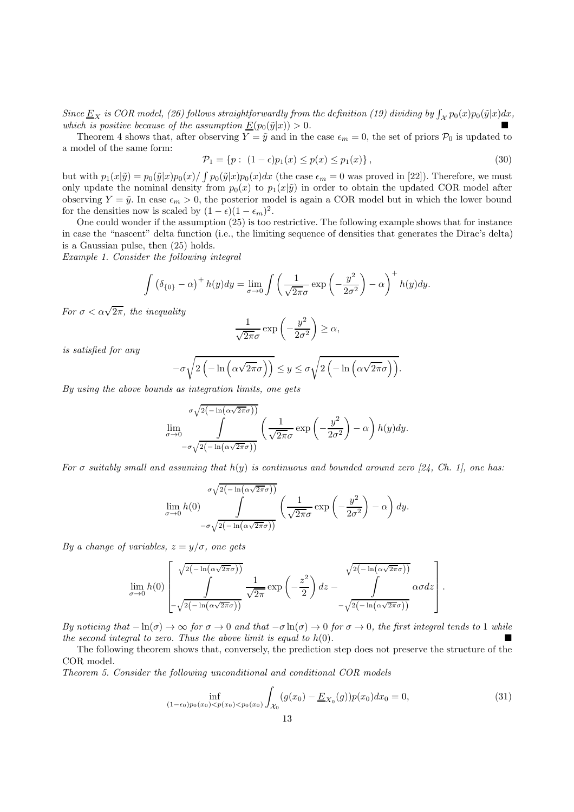Since  $\underline{E}_X$  is COR model, [\(26\)](#page-11-3) follows straightforwardly from the definition [\(19\)](#page-9-1) dividing by  $\int_X p_0(x)p_0(\tilde{y}|x)dx$ , which is positive because of the assumption  $\underline{E}(p_0(\tilde{y}|x)) > 0$ .

Theorem [4](#page-11-4) shows that, after observing  $\overline{Y} = \tilde{y}$  and in the case  $\epsilon_m = 0$ , the set of priors  $\mathcal{P}_0$  is updated to a model of the same form:

$$
\mathcal{P}_1 = \{ p : (1 - \epsilon) p_1(x) \le p(x) \le p_1(x) \},\tag{30}
$$

but with  $p_1(x|\tilde{y}) = p_0(\tilde{y}|x)p_0(x)/\int p_0(\tilde{y}|x)p_0(x)dx$  (the case  $\epsilon_m = 0$  was proved in [\[22](#page-27-13)]). Therefore, we must only update the nominal density from  $p_0(x)$  to  $p_1(x|\tilde{y})$  in order to obtain the updated COR model after observing  $Y = \tilde{y}$ . In case  $\epsilon_m > 0$ , the posterior model is again a COR model but in which the lower bound for the densities now is scaled by  $(1 - \epsilon)(1 - \epsilon_m)^2$ .

One could wonder if the assumption [\(25\)](#page-11-0) is too restrictive. The following example shows that for instance in case the "nascent" delta function (i.e., the limiting sequence of densities that generates the Dirac's delta) is a Gaussian pulse, then [\(25\)](#page-11-0) holds.

Example 1. Consider the following integral

$$
\int \left(\delta_{\{0\}} - \alpha\right)^+ h(y) dy = \lim_{\sigma \to 0} \int \left(\frac{1}{\sqrt{2\pi}\sigma} \exp\left(-\frac{y^2}{2\sigma^2}\right) - \alpha\right)^+ h(y) dy.
$$

For  $\sigma < \alpha \sqrt{2\pi}$ , the inequality

<span id="page-12-0"></span>
$$
\frac{1}{\sqrt{2\pi}\sigma} \exp\left(-\frac{y^2}{2\sigma^2}\right) \ge \alpha,
$$

is satisfied for any

$$
-\sigma\sqrt{2\left(-\ln\left(\alpha\sqrt{2\pi}\sigma\right)\right)} \leq y \leq \sigma\sqrt{2\left(-\ln\left(\alpha\sqrt{2\pi}\sigma\right)\right)}.
$$

By using the above bounds as integration limits, one gets

$$
\lim_{\sigma \to 0} \int_{-\sigma\sqrt{2(-\ln(\alpha\sqrt{2\pi}\sigma))}}^{\sigma\sqrt{2(-\ln(\alpha\sqrt{2\pi}\sigma))}} \left(\frac{1}{\sqrt{2\pi}\sigma} \exp\left(-\frac{y^2}{2\sigma^2}\right) - \alpha\right) h(y) dy.
$$

For  $\sigma$  suitably small and assuming that  $h(y)$  is continuous and bounded around zero [\[24](#page-27-15), Ch. 1], one has:

$$
\lim_{\sigma \to 0} h(0) \int_{-\sigma\sqrt{2(-\ln(\alpha\sqrt{2\pi}\sigma))}}^{\sigma\sqrt{2(-\ln(\alpha\sqrt{2\pi}\sigma))}} \left(\frac{1}{\sqrt{2\pi}\sigma} \exp\left(-\frac{y^2}{2\sigma^2}\right) - \alpha\right) dy.
$$

By a change of variables,  $z = y/\sigma$ , one gets

$$
\lim_{\sigma \to 0} h(0) \left[ \frac{\sqrt{2(-\ln(\alpha \sqrt{2\pi}\sigma))}}{\int \frac{1}{\sqrt{2\pi}} \exp\left(-\frac{z^2}{2}\right) dz - \int \frac{\sqrt{2(-\ln(\alpha \sqrt{2\pi}\sigma))}}{-\sqrt{2(-\ln(\alpha \sqrt{2\pi}\sigma))}} \alpha \sigma dz \right].
$$

By noticing that  $-\ln(\sigma) \to \infty$  for  $\sigma \to 0$  and that  $-\sigma \ln(\sigma) \to 0$  for  $\sigma \to 0$ , the first integral tends to 1 while the second integral to zero. Thus the above limit is equal to  $h(0)$ .

The following theorem shows that, conversely, the prediction step does not preserve the structure of the COR model.

Theorem 5. Consider the following unconditional and conditional COR models

<span id="page-12-2"></span><span id="page-12-1"></span>
$$
\inf_{(1-\epsilon_0)p_0(x_0)< p(x_0)< p_0(x_0)} \int_{\mathcal{X}_0} (g(x_0) - \underline{E}_{X_0}(g)) p(x_0) dx_0 = 0,\tag{31}
$$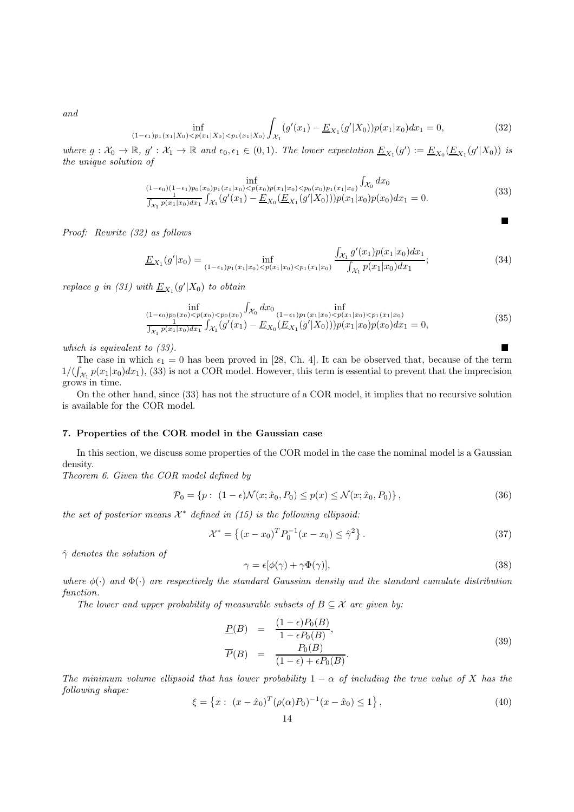and

<span id="page-13-0"></span>
$$
\inf_{(1-\epsilon_1)p_1(x_1|X_0)
$$

where  $g: \mathcal{X}_0 \to \mathbb{R}$ ,  $g' : \mathcal{X}_1 \to \mathbb{R}$  and  $\epsilon_0, \epsilon_1 \in (0,1)$ . The lower expectation  $\underline{E}_{X_1}(g') := \underline{E}_{X_0}(\underline{E}_{X_1}(g'|X_0))$  is the unique solution of

<span id="page-13-1"></span>
$$
\inf_{\substack{(1-\epsilon_0)(1-\epsilon_1)p_0(x_0)p_1(x_1|x_0)\n
$$
\frac{1}{\int_{x_1} p(x_1|x_0)dx_1} \int_{\mathcal{X}_1} (g'(x_1) - \underline{E}_{X_0}(\underline{E}_{X_1}(g'|X_0)))p(x_1|x_0)p(x_0)dx_1 = 0.
$$
\n(33)
$$

▬

Proof: Rewrite [\(32\)](#page-13-0) as follows

$$
\underline{E}_{X_1}(g'|x_0) = \inf_{(1-\epsilon_1)p_1(x_1|x_0) < p(x_1|x_0) < p_1(x_1|x_0)} \frac{\int_{\mathcal{X}_1} g'(x_1)p(x_1|x_0)dx_1}{\int_{\mathcal{X}_1} p(x_1|x_0)dx_1};\tag{34}
$$

replace g in [\(31\)](#page-12-1) with  $\underline{E}_{X_1}(g'|X_0)$  to obtain

$$
\inf_{\substack{(1-\epsilon_0)p_0(x_0)< p(x_0)< p_0(x_0)\\
\frac{1}{\int_{\mathcal{X}_1} p(x_1|x_0)dx_1} \int_{\mathcal{X}_1} (g'(x_1) - \underline{E}_{X_0}(\underline{E}_{X_1}(g'|X_0)))p(x_1|x_0)p(x_0)dx_1 = 0, \tag{35}
$$

which is equivalent to [\(33\)](#page-13-1).

The case in which  $\epsilon_1 = 0$  has been proved in [\[28,](#page-27-19) Ch. 4]. It can be observed that, because of the term  $1/(\int_{X_1} p(x_1|x_0)dx_1)$ , [\(33\)](#page-13-1) is not a COR model. However, this term is essential to prevent that the imprecision grows in time.

On the other hand, since [\(33\)](#page-13-1) has not the structure of a COR model, it implies that no recursive solution is available for the COR model.

# <span id="page-13-6"></span>7. Properties of the COR model in the Gaussian case

In this section, we discuss some properties of the COR model in the case the nominal model is a Gaussian density.

<span id="page-13-5"></span>Theorem 6. Given the COR model defined by

$$
\mathcal{P}_0 = \{ p : (1 - \epsilon)\mathcal{N}(x; \hat{x}_0, P_0) \le p(x) \le \mathcal{N}(x; \hat{x}_0, P_0) \},\tag{36}
$$

the set of posterior means  $\mathcal{X}^*$  defined in [\(15\)](#page-7-5) is the following ellipsoid:

<span id="page-13-2"></span>
$$
\mathcal{X}^* = \left\{ (x - x_0)^T P_0^{-1} (x - x_0) \le \hat{\gamma}^2 \right\}.
$$
 (37)

 $\hat{\gamma}$  denotes the solution of

$$
\gamma = \epsilon[\phi(\gamma) + \gamma \Phi(\gamma)],\tag{38}
$$

where  $\phi(\cdot)$  and  $\Phi(\cdot)$  are respectively the standard Gaussian density and the standard cumulate distribution function.

The lower and upper probability of measurable subsets of  $B \subseteq \mathcal{X}$  are given by:

<span id="page-13-3"></span>
$$
\frac{P(B)}{\overline{P}(B)} = \frac{(1 - \epsilon)P_0(B)}{1 - \epsilon P_0(B)},
$$
\n
$$
\overline{P}(B) = \frac{P_0(B)}{(1 - \epsilon) + \epsilon P_0(B)}.
$$
\n(39)

The minimum volume ellipsoid that has lower probability  $1 - \alpha$  of including the true value of X has the following shape:

<span id="page-13-4"></span>
$$
\xi = \left\{ x : (x - \hat{x}_0)^T (\rho(\alpha) P_0)^{-1} (x - \hat{x}_0) \le 1 \right\},\tag{40}
$$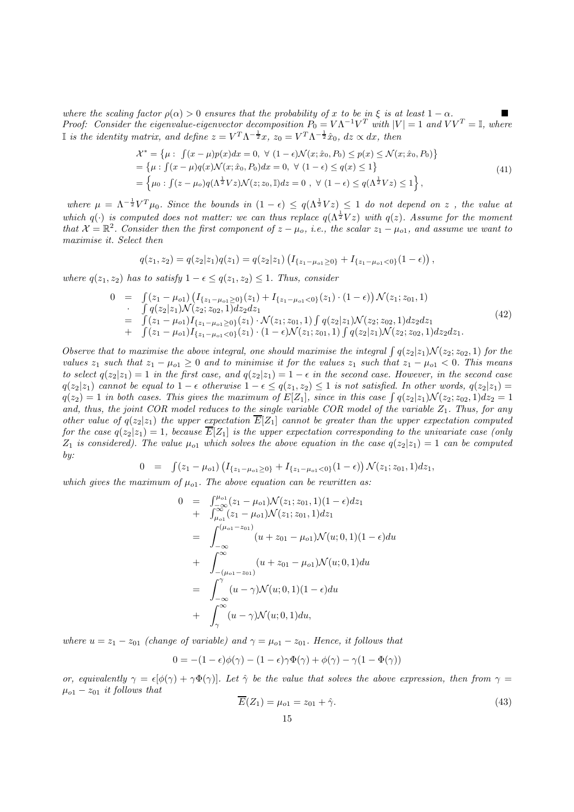where the scaling factor  $\rho(\alpha) > 0$  ensures that the probability of x to be in  $\xi$  is at least  $1 - \alpha$ . Proof: Consider the eigenvalue-eigenvector decomposition  $P_0 = V\Lambda^{-1}V^T$  with  $|V| = 1$  and  $VV^T = \mathbb{I}$ , where If is the identity matrix, and define  $z = V^T \Lambda^{-\frac{1}{2}} x$ ,  $z_0 = V^T \Lambda^{-\frac{1}{2}} \hat{x}_0$ ,  $dz \propto dx$ , then

<span id="page-14-0"></span>
$$
\mathcal{X}^* = \left\{ \mu : \int (x - \mu)p(x)dx = 0, \ \forall (1 - \epsilon)\mathcal{N}(x; \hat{x}_0, P_0) \le p(x) \le \mathcal{N}(x; \hat{x}_0, P_0) \right\} \n= \left\{ \mu : \int (x - \mu)q(x)\mathcal{N}(x; \hat{x}_0, P_0)dx = 0, \ \forall (1 - \epsilon) \le q(x) \le 1 \right\} \n= \left\{ \mu_0 : \int (z - \mu_0)q(\Lambda^{\frac{1}{2}}Vz)\mathcal{N}(z; z_0, \mathbb{I})dz = 0, \ \forall (1 - \epsilon) \le q(\Lambda^{\frac{1}{2}}Vz) \le 1 \right\},
$$
\n(41)

where  $\mu = \Lambda^{-\frac{1}{2}}V^T\mu_0$ . Since the bounds in  $(1-\epsilon) \leq q(\Lambda^{\frac{1}{2}}Vz) \leq 1$  do not depend on z, the value at which  $q(\cdot)$  is computed does not matter: we can thus replace  $q(\Lambda^{\frac{1}{2}}Vz)$  with  $q(z)$ . Assume for the moment that  $\mathcal{X} = \mathbb{R}^2$ . Consider then the first component of  $z - \mu_o$ , i.e., the scalar  $z_1 - \mu_{o1}$ , and assume we want to maximise it. Select then

$$
q(z_1, z_2) = q(z_2|z_1)q(z_1) = q(z_2|z_1) \left(I_{\{z_1 - \mu_{o1} \geq 0\}} + I_{\{z_1 - \mu_{o1} < 0\}}(1 - \epsilon)\right),
$$

where  $q(z_1, z_2)$  has to satisfy  $1 - \epsilon \leq q(z_1, z_2) \leq 1$ . Thus, consider

$$
0 = \int (z_1 - \mu_{o1}) (I_{\{z_1 - \mu_{o1} \ge 0\}}(z_1) + I_{\{z_1 - \mu_{o1} < 0\}}(z_1) \cdot (1 - \epsilon)) \mathcal{N}(z_1; z_{01}, 1)
$$
\n
$$
= \int q(z_2|z_1) \mathcal{N}(z_2; z_{02}, 1) dz_2 dz_1
$$
\n
$$
= \int (z_1 - \mu_{o1}) I_{\{z_1 - \mu_{o1} \ge 0\}}(z_1) \cdot \mathcal{N}(z_1; z_{01}, 1) \int q(z_2|z_1) \mathcal{N}(z_2; z_{02}, 1) dz_2 dz_1
$$
\n
$$
+ \int (z_1 - \mu_{o1}) I_{\{z_1 - \mu_{o1} < 0\}}(z_1) \cdot (1 - \epsilon) \mathcal{N}(z_1; z_{01}, 1) \int q(z_2|z_1) \mathcal{N}(z_2; z_{02}, 1) dz_2 dz_1.
$$
\n
$$
(42)
$$

Observe that to maximise the above integral, one should maximise the integral  $\int q(z_2|z_1)\mathcal{N}(z_2; z_{02}, 1)$  for the values  $z_1$  such that  $z_1 - \mu_{o1} \geq 0$  and to minimise it for the values  $z_1$  such that  $z_1 - \mu_{o1} < 0$ . This means to select  $q(z_2|z_1) = 1$  in the first case, and  $q(z_2|z_1) = 1 - \epsilon$  in the second case. However, in the second case  $q(z_2|z_1)$  cannot be equal to  $1 - \epsilon$  otherwise  $1 - \epsilon \leq q(z_1, z_2) \leq 1$  is not satisfied. In other words,  $q(z_2|z_1)$  $q(z_2) = 1$  in both cases. This gives the maximum of  $E[Z_1]$ , since in this case  $\int q(z_2|z_1) \mathcal{N}(z_2; z_{02}, 1) dz_2 = 1$ and, thus, the joint COR model reduces to the single variable COR model of the variable  $Z_1$ . Thus, for any other value of  $q(z_2|z_1)$  the upper expectation  $\overline{E}[Z_1]$  cannot be greater than the upper expectation computed for the case  $q(z_2|z_1) = 1$ , because  $\overline{E}[Z_1]$  is the upper expectation corresponding to the univariate case (only  $Z_1$  is considered). The value  $\mu_{o1}$  which solves the above equation in the case  $q(z_2|z_1) = 1$  can be computed by:

$$
0 = \int (z_1 - \mu_{o1}) \left( I_{\{z_1 - \mu_{o1} \ge 0\}} + I_{\{z_1 - \mu_{o1} < 0\}} (1 - \epsilon) \right) \mathcal{N}(z_1; z_{01}, 1) dz_1,
$$

which gives the maximum of  $\mu_{o1}$ . The above equation can be rewritten as:

$$
0 = \int_{-\infty}^{\mu_{o1}} (z_1 - \mu_{o1}) \mathcal{N}(z_1; z_{01}, 1) (1 - \epsilon) dz_1
$$
  
+ 
$$
\int_{\mu_{o1}}^{\infty} (z_1 - \mu_{o1}) \mathcal{N}(z_1; z_{01}, 1) dz_1
$$
  
= 
$$
\int_{-\infty}^{(\mu_{o1} - z_{01})} (u + z_{01} - \mu_{o1}) \mathcal{N}(u; 0, 1) (1 - \epsilon) du
$$
  
+ 
$$
\int_{-(\mu_{o1} - z_{01})}^{\infty} (u + z_{01} - \mu_{o1}) \mathcal{N}(u; 0, 1) du
$$
  
= 
$$
\int_{-\infty}^{\gamma} (u - \gamma) \mathcal{N}(u; 0, 1) (1 - \epsilon) du
$$
  
+ 
$$
\int_{\gamma}^{\infty} (u - \gamma) \mathcal{N}(u; 0, 1) du,
$$

where  $u = z_1 - z_{01}$  (change of variable) and  $\gamma = \mu_{01} - z_{01}$ . Hence, it follows that

$$
0 = -(1 - \epsilon)\phi(\gamma) - (1 - \epsilon)\gamma\Phi(\gamma) + \phi(\gamma) - \gamma(1 - \Phi(\gamma))
$$

or, equivalently  $\gamma = \epsilon[\phi(\gamma) + \gamma \Phi(\gamma)]$ . Let  $\hat{\gamma}$  be the value that solves the above expression, then from  $\gamma =$  $\mu_{o1}$  –  $z_{01}$  it follows that

$$
\overline{E}(Z_1) = \mu_{o1} = z_{01} + \hat{\gamma}.\tag{43}
$$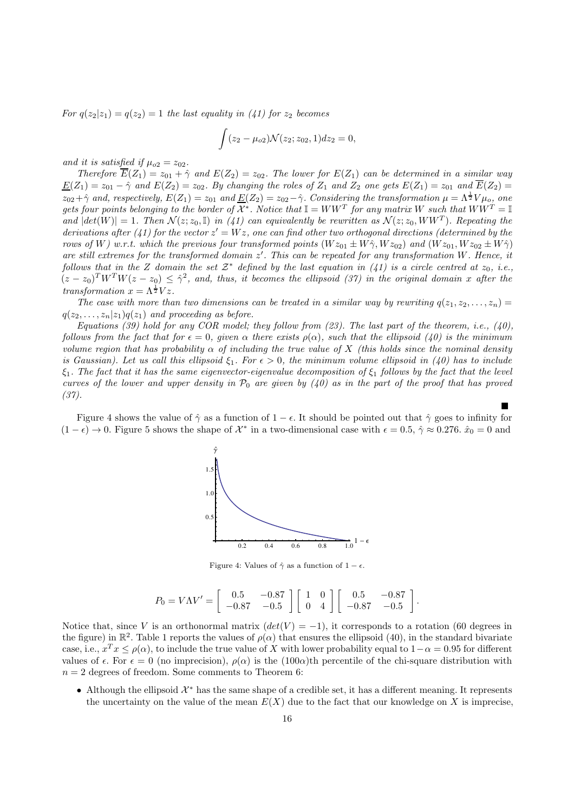For  $q(z_2|z_1) = q(z_2) = 1$  the last equality in [\(41\)](#page-14-0) for  $z_2$  becomes

$$
\int (z_2 - \mu_{o2}) \mathcal{N}(z_2; z_{02}, 1) dz_2 = 0,
$$

and it is satisfied if  $\mu_{o2} = z_{02}$ .

Therefore  $\overline{E}(Z_1) = z_{01} + \hat{\gamma}$  and  $E(Z_2) = z_{02}$ . The lower for  $E(Z_1)$  can be determined in a similar way  $\underline{E}(Z_1) = z_{01} - \hat{\gamma}$  and  $E(Z_2) = z_{02}$ . By changing the roles of  $Z_1$  and  $Z_2$  one gets  $E(Z_1) = z_{01}$  and  $\overline{E}(Z_2) =$  $z_{02}+\hat{\gamma}$  and, respectively,  $E(Z_1)=z_{01}$  and  $\underline{E}(Z_2)=z_{02}-\hat{\gamma}$ . Considering the transformation  $\mu=\Lambda^{\frac{1}{2}}V\mu_o$ , one gets four points belonging to the border of  $\mathcal{X}^*$ . Notice that  $\mathbb{I} = WW^T$  for any matrix W such that  $WW^T = \mathbb{I}$ and  $|det(W)| = 1$ . Then  $\mathcal{N}(z; z_0, \mathbb{I})$  in [\(41\)](#page-14-0) can equivalently be rewritten as  $\mathcal{N}(z; z_0, WW^T)$ . Repeating the derivations after [\(41\)](#page-14-0) for the vector  $z' = Wz$ , one can find other two orthogonal directions (determined by the rows of W) w.r.t. which the previous four transformed points  $(Wz_{01} \pm W\hat{\gamma}, Wz_{02})$  and  $(Wz_{01}, Wz_{02} \pm W\hat{\gamma})$ are still extremes for the transformed domain  $z'$ . This can be repeated for any transformation W. Hence, it follows that in the Z domain the set  $\mathcal{Z}^*$  defined by the last equation in [\(41\)](#page-14-0) is a circle centred at  $z_0$ , i.e.,  $(z-z_0)^T W^T W (z-z_0) \leq \hat{\gamma}^2$ , and, thus, it becomes the ellipsoid [\(37\)](#page-13-2) in the original domain x after the transformation  $x = \Lambda^{\frac{1}{2}} V z$ .

The case with more than two dimensions can be treated in a similar way by rewriting  $q(z_1, z_2, \ldots, z_n) =$  $q(z_2, \ldots, z_n | z_1) q(z_1)$  and proceeding as before.

Equations [\(39\)](#page-13-3) hold for any COR model; they follow from [\(23\)](#page-9-4). The last part of the theorem, i.e., [\(40\)](#page-13-4), follows from the fact that for  $\epsilon = 0$ , given  $\alpha$  there exists  $\rho(\alpha)$ , such that the ellipsoid [\(40\)](#page-13-4) is the minimum volume region that has probability  $\alpha$  of including the true value of X (this holds since the nominal density is Gaussian). Let us call this ellipsoid  $\xi_1$ . For  $\epsilon > 0$ , the minimum volume ellipsoid in [\(40\)](#page-13-4) has to include  $\xi_1$ . The fact that it has the same eigenvector-eigenvalue decomposition of  $\xi_1$  follows by the fact that the level curves of the lower and upper density in  $\mathcal{P}_0$  are given by [\(40\)](#page-13-4) as in the part of the proof that has proved [\(37\)](#page-13-2).  $\blacksquare$ 

Figure [4](#page-15-0) shows the value of  $\hat{\gamma}$  as a function of  $1 - \epsilon$ . It should be pointed out that  $\hat{\gamma}$  goes to infinity for  $(1 - \epsilon) \to 0$ . Figure [5](#page-16-0) shows the shape of  $\mathcal{X}^*$  in a two-dimensional case with  $\epsilon = 0.5$ ,  $\hat{\gamma} \approx 0.276$ .  $\hat{x}_0 = 0$  and



<span id="page-15-0"></span>Figure 4: Values of  $\hat{\gamma}$  as a function of  $1 - \epsilon$ .

$$
P_0 = V\Lambda V' = \begin{bmatrix} 0.5 & -0.87 \\ -0.87 & -0.5 \end{bmatrix} \begin{bmatrix} 1 & 0 \\ 0 & 4 \end{bmatrix} \begin{bmatrix} 0.5 & -0.87 \\ -0.87 & -0.5 \end{bmatrix}.
$$

Notice that, since V is an orthonormal matrix  $(det(V) = -1)$ , it corresponds to a rotation (60 degrees in the figure) in  $\mathbb{R}^2$ . Table [1](#page-16-1) reports the values of  $\rho(\alpha)$  that ensures the ellipsoid [\(40\)](#page-13-4), in the standard bivariate case, i.e.,  $x^T x \le \rho(\alpha)$ , to include the true value of X with lower probability equal to  $1-\alpha = 0.95$  for different values of  $\epsilon$ . For  $\epsilon = 0$  (no imprecision),  $\rho(\alpha)$  is the (100 $\alpha$ )th percentile of the chi-square distribution with  $n = 2$  degrees of freedom. Some comments to Theorem [6:](#page-13-5)

• Although the ellipsoid  $\mathcal{X}^*$  has the same shape of a credible set, it has a different meaning. It represents the uncertainty on the value of the mean  $E(X)$  due to the fact that our knowledge on X is imprecise,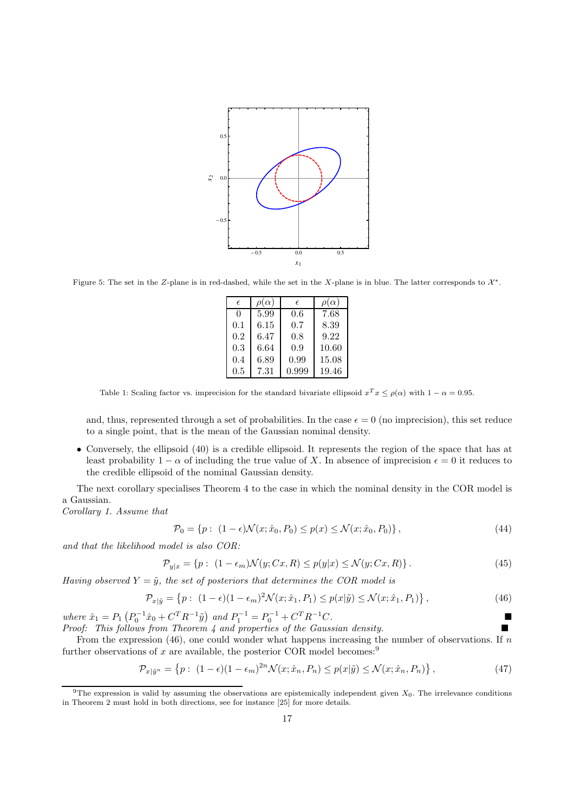

<span id="page-16-0"></span>Figure 5: The set in the Z-plane is in red-dashed, while the set in the X-plane is in blue. The latter corresponds to  $\mathcal{X}^*$ .

| $\epsilon$ | $\rho(\alpha)$ | $\epsilon$ | $\rho(\alpha)$ |
|------------|----------------|------------|----------------|
| $\Omega$   | 5.99           | 0.6        | 7.68           |
| 0.1        | 6.15           | 0.7        | 8.39           |
| 0.2        | 6.47           | 0.8        | 9.22           |
| 0.3        | 6.64           | 0.9        | 10.60          |
| 0.4        | 6.89           | 0.99       | 15.08          |
| 0.5        | 7.31           | 0.999      | 19.46          |

<span id="page-16-1"></span>Table 1: Scaling factor vs. imprecision for the standard bivariate ellipsoid  $x^T x \le \rho(\alpha)$  with  $1 - \alpha = 0.95$ .

and, thus, represented through a set of probabilities. In the case  $\epsilon = 0$  (no imprecision), this set reduce to a single point, that is the mean of the Gaussian nominal density.

• Conversely, the ellipsoid [\(40\)](#page-13-4) is a credible ellipsoid. It represents the region of the space that has at least probability  $1 - \alpha$  of including the true value of X. In absence of imprecision  $\epsilon = 0$  it reduces to the credible ellipsoid of the nominal Gaussian density.

The next corollary specialises Theorem [4](#page-11-4) to the case in which the nominal density in the COR model is a Gaussian.

Corollary 1. Assume that

$$
\mathcal{P}_0 = \{ p : (1 - \epsilon)\mathcal{N}(x; \hat{x}_0, P_0) \le p(x) \le \mathcal{N}(x; \hat{x}_0, P_0) \},\tag{44}
$$

and that the likelihood model is also COR:

$$
\mathcal{P}_{y|x} = \{p: (1 - \epsilon_m)\mathcal{N}(y; Cx, R) \le p(y|x) \le \mathcal{N}(y; Cx, R)\}.
$$
\n(45)

Having observed  $Y = \tilde{y}$ , the set of posteriors that determines the COR model is

<span id="page-16-2"></span>
$$
\mathcal{P}_{x|\tilde{y}} = \left\{ p : (1 - \epsilon)(1 - \epsilon_m)^2 \mathcal{N}(x; \hat{x}_1, P_1) \le p(x|\tilde{y}) \le \mathcal{N}(x; \hat{x}_1, P_1) \right\},\tag{46}
$$

where  $\hat{x}_1 = P_1 \left( P_0^{-1} \hat{x}_0 + C^T R^{-1} \tilde{y} \right)$  and  $P_1^{-1} = P_0^{-1} + C^T R^{-1} C$ . **Proof:** This follows from Theorem [4](#page-11-4) and properties of the Gaussian density.

From the expression [\(46\)](#page-16-2), one could wonder what happens increasing the number of observations. If  $n$ further observations of x are available, the posterior COR model becomes:<sup>[9](#page-16-3)</sup>

$$
\mathcal{P}_{x|\tilde{y}^n} = \left\{ p : \ (1 - \epsilon)(1 - \epsilon_m)^{2n} \mathcal{N}(x; \hat{x}_n, P_n) \le p(x|\tilde{y}) \le \mathcal{N}(x; \hat{x}_n, P_n) \right\},\tag{47}
$$

<span id="page-16-3"></span><sup>&</sup>lt;sup>9</sup>The expression is valid by assuming the observations are epistemically independent given  $X_0$ . The irrelevance conditions in Theorem [2](#page-6-1) must hold in both directions, see for instance [\[25](#page-27-16)] for more details.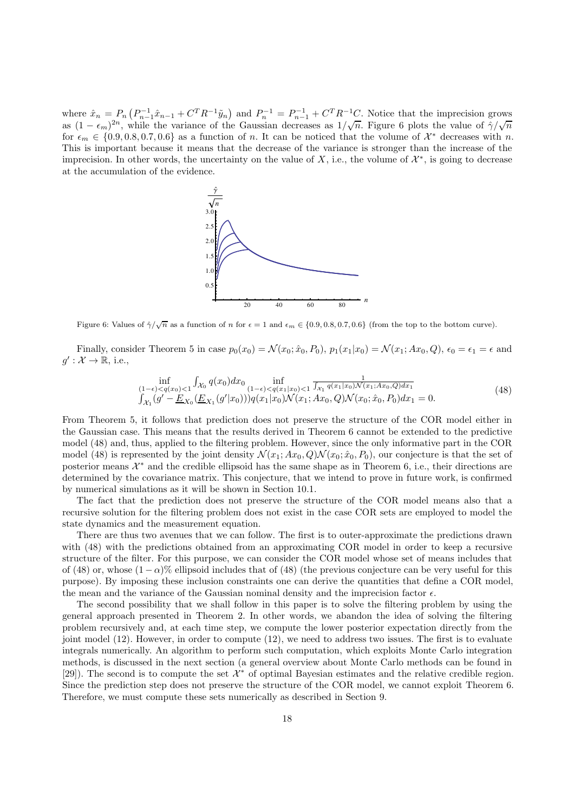where  $\hat{x}_n = P_n \left( P_{n-1}^{-1} \hat{x}_{n-1} + C^T R^{-1} \tilde{y}_n \right)$  and  $P_n^{-1} = P_{n-1}^{-1} + C^T R^{-1} C$ . Notice that the imprecision grows as  $(1 - \epsilon_m)^{2n}$ , while the variance of the Gaussian decreases as  $1/\sqrt{n}$ . Figure [6](#page-17-0) plots the value of  $\gamma/\sqrt{n}$ for  $\epsilon_m \in \{0.9, 0.8, 0.7, 0.6\}$  as a function of n. It can be noticed that the volume of  $\mathcal{X}^*$  decreases with n. This is important because it means that the decrease of the variance is stronger than the increase of the imprecision. In other words, the uncertainty on the value of  $X$ , i.e., the volume of  $\mathcal{X}^*$ , is going to decrease at the accumulation of the evidence.



<span id="page-17-0"></span>Figure 6: Values of  $\hat{\gamma}/\sqrt{n}$  as a function of n for  $\epsilon = 1$  and  $\epsilon_m \in \{0.9, 0.8, 0.7, 0.6\}$  (from the top to the bottom curve).

Finally, consider Theorem [5](#page-12-2) in case  $p_0(x_0) = \mathcal{N}(x_0; \hat{x}_0, P_0)$ ,  $p_1(x_1|x_0) = \mathcal{N}(x_1; Ax_0, Q)$ ,  $\epsilon_0 = \epsilon_1 = \epsilon$  and  $g': \mathcal{X} \to \mathbb{R}$ , i.e.,

<span id="page-17-1"></span>
$$
\inf_{\substack{(1-\epsilon)\leq q(x_0)\leq 1}} \int_{\mathcal{X}_0} q(x_0) dx_0 \inf_{\substack{(1-\epsilon)\leq q(x_1|x_0)\leq 1}} \frac{1}{\int_{\mathcal{X}_1} q(x_1|x_0) \mathcal{N}(x_1;Ax_0,Q) dx_1} \left( 48 \right)
$$
\n
$$
\int_{\mathcal{X}_1} (g' - \underline{E}_{X_0} (\underline{E}_{X_1} (g'|x_0))) q(x_1|x_0) \mathcal{N}(x_1;Ax_0,Q) \mathcal{N}(x_0;\hat{x}_0,P_0) dx_1 = 0. \tag{48}
$$

From Theorem [5,](#page-12-2) it follows that prediction does not preserve the structure of the COR model either in the Gaussian case. This means that the results derived in Theorem [6](#page-13-5) cannot be extended to the predictive model [\(48\)](#page-17-1) and, thus, applied to the filtering problem. However, since the only informative part in the COR model [\(48\)](#page-17-1) is represented by the joint density  $\mathcal{N}(x_1; Ax_0, Q)\mathcal{N}(x_0; \hat{x}_0, P_0)$ , our conjecture is that the set of posterior means  $\mathcal{X}^*$  and the credible ellipsoid has the same shape as in Theorem [6,](#page-13-5) i.e., their directions are determined by the covariance matrix. This conjecture, that we intend to prove in future work, is confirmed by numerical simulations as it will be shown in Section [10.1.](#page-22-0)

The fact that the prediction does not preserve the structure of the COR model means also that a recursive solution for the filtering problem does not exist in the case COR sets are employed to model the state dynamics and the measurement equation.

There are thus two avenues that we can follow. The first is to outer-approximate the predictions drawn with [\(48\)](#page-17-1) with the predictions obtained from an approximating COR model in order to keep a recursive structure of the filter. For this purpose, we can consider the COR model whose set of means includes that of [\(48\)](#page-17-1) or, whose  $(1-\alpha)$ % ellipsoid includes that of (48) (the previous conjecture can be very useful for this purpose). By imposing these inclusion constraints one can derive the quantities that define a COR model, the mean and the variance of the Gaussian nominal density and the imprecision factor  $\epsilon$ .

The second possibility that we shall follow in this paper is to solve the filtering problem by using the general approach presented in Theorem [2.](#page-6-1) In other words, we abandon the idea of solving the filtering problem recursively and, at each time step, we compute the lower posterior expectation directly from the joint model [\(12\)](#page-6-5). However, in order to compute [\(12\)](#page-6-5), we need to address two issues. The first is to evaluate integrals numerically. An algorithm to perform such computation, which exploits Monte Carlo integration methods, is discussed in the next section (a general overview about Monte Carlo methods can be found in [\[29](#page-27-20)]). The second is to compute the set  $\mathcal{X}^*$  of optimal Bayesian estimates and the relative credible region. Since the prediction step does not preserve the structure of the COR model, we cannot exploit Theorem [6.](#page-13-5) Therefore, we must compute these sets numerically as described in Section [9.](#page-19-0)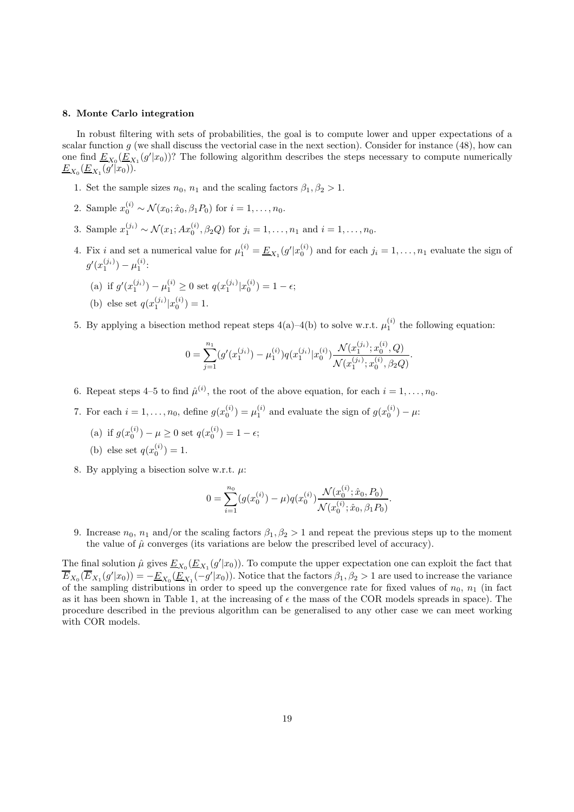# <span id="page-18-0"></span>8. Monte Carlo integration

In robust filtering with sets of probabilities, the goal is to compute lower and upper expectations of a scalar function  $q$  (we shall discuss the vectorial case in the next section). Consider for instance [\(48\)](#page-17-1), how can one find  $\underline{E}_{X_0}(\underline{E}_{X_1}(g'|x_0))$ ? The following algorithm describes the steps necessary to compute numerically  $\underline{E}_{X_0}(\underline{E}_{X_1}(g'|x_0)).$ 

- 1. Set the sample sizes  $n_0$ ,  $n_1$  and the scaling factors  $\beta_1, \beta_2 > 1$ .
- 2. Sample  $x_0^{(i)} \sim \mathcal{N}(x_0; \hat{x}_0, \beta_1 P_0)$  for  $i = 1, ..., n_0$ .
- 3. Sample  $x_1^{(j_i)} \sim \mathcal{N}(x_1; Ax_0^{(i)}, \beta_2 Q)$  for  $j_i = 1, ..., n_1$  and  $i = 1, ..., n_0$ .
- 4. Fix i and set a numerical value for  $\mu_1^{(i)} = \underline{E}_{X_1}(g'|x_0^{(i)})$  and for each  $j_i = 1, \ldots, n_1$  evaluate the sign of  $g'(x_1^{(j_i)}) - \mu_1^{(i)}$ :
	- (a) if  $g'(x_1^{(j_i)}) \mu_1^{(i)} \ge 0$  set  $q(x_1^{(j_i)} | x_0^{(i)}) = 1 \epsilon$ ;
	- (b) else set  $q(x_1^{(j_i)}|x_0^{(i)}) = 1$ .
- 5. By applying a bisection method repeat steps  $4(a)-4(b)$  to solve w.r.t.  $\mu_1^{(i)}$  the following equation:

$$
0 = \sum_{j=1}^{n_1} (g'(x_1^{(j_i)}) - \mu_1^{(i)}) q(x_1^{(j_i)} | x_0^{(i)}) \frac{\mathcal{N}(x_1^{(j_i)}; x_0^{(i)}, Q)}{\mathcal{N}(x_1^{(j_i)}; x_0^{(i)}, \beta_2 Q)}
$$

.

- 6. Repeat steps 4–5 to find  $\hat{\mu}^{(i)}$ , the root of the above equation, for each  $i = 1, \ldots, n_0$ .
- 7. For each  $i = 1, \ldots, n_0$ , define  $g(x_0^{(i)}) = \mu_1^{(i)}$  and evaluate the sign of  $g(x_0^{(i)}) \mu$ :
	- (a) if  $g(x_0^{(i)}) \mu \ge 0$  set  $q(x_0^{(i)}) = 1 \epsilon$ ; (b) else set  $q(x_0^{(i)}) = 1$ .
- 8. By applying a bisection solve w.r.t.  $\mu$ .

$$
0 = \sum_{i=1}^{n_0} (g(x_0^{(i)}) - \mu) q(x_0^{(i)}) \frac{\mathcal{N}(x_0^{(i)}; \hat{x}_0, P_0)}{\mathcal{N}(x_0^{(i)}; \hat{x}_0, \beta_1 P_0)}.
$$

9. Increase  $n_0$ ,  $n_1$  and/or the scaling factors  $\beta_1, \beta_2 > 1$  and repeat the previous steps up to the moment the value of  $\hat{\mu}$  converges (its variations are below the prescribed level of accuracy).

The final solution  $\hat{\mu}$  gives  $\underline{E}_{X_0}(\underline{E}_{X_1}(g'|x_0))$ . To compute the upper expectation one can exploit the fact that  $E_{X_0}(E_{X_1}(g'|x_0)) = -E_{X_0}(E_{X_1}(-g'|x_0)).$  Notice that the factors  $\beta_1, \beta_2 > 1$  are used to increase the variance of the sampling distributions in order to speed up the convergence rate for fixed values of  $n_0$ ,  $n_1$  (in fact as it has been shown in Table [1,](#page-16-1) at the increasing of  $\epsilon$  the mass of the COR models spreads in space). The procedure described in the previous algorithm can be generalised to any other case we can meet working with COR models.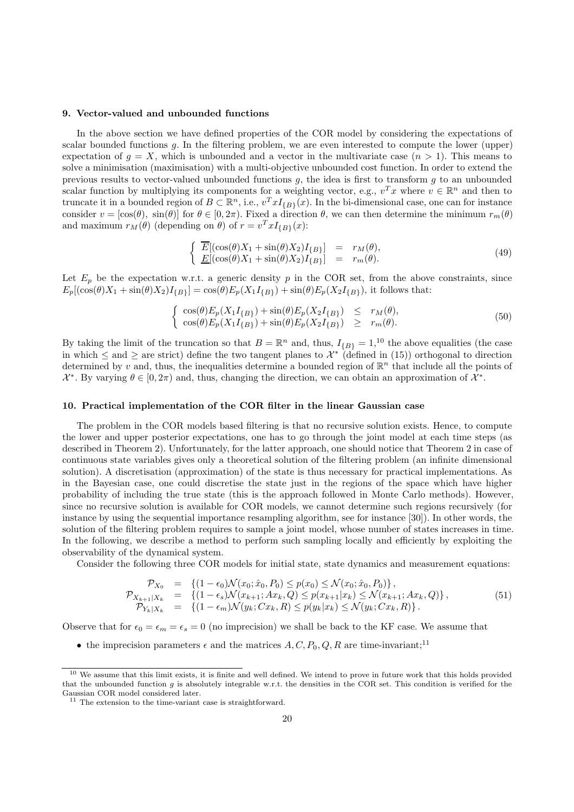### <span id="page-19-0"></span>9. Vector-valued and unbounded functions

In the above section we have defined properties of the COR model by considering the expectations of scalar bounded functions  $g$ . In the filtering problem, we are even interested to compute the lower (upper) expectation of  $q = X$ , which is unbounded and a vector in the multivariate case  $(n > 1)$ . This means to solve a minimisation (maximisation) with a multi-objective unbounded cost function. In order to extend the previous results to vector-valued unbounded functions  $g$ , the idea is first to transform  $g$  to an unbounded scalar function by multiplying its components for a weighting vector, e.g.,  $v^T x$  where  $v \in \mathbb{R}^n$  and then to truncate it in a bounded region of  $B \subset \mathbb{R}^n$ , i.e.,  $v^T x I_{\{B\}}(x)$ . In the bi-dimensional case, one can for instance consider  $v = [\cos(\theta), \sin(\theta)]$  for  $\theta \in [0, 2\pi)$ . Fixed a direction  $\theta$ , we can then determine the minimum  $r_m(\theta)$ and maximum  $r_M(\theta)$  (depending on  $\theta$ ) of  $r = v^T x I_{\{B\}}(x)$ :

$$
\begin{cases}\n\overline{E}[(\cos(\theta)X_1 + \sin(\theta)X_2)I_{\{B\}}] & = r_M(\theta), \\
\underline{E}[(\cos(\theta)X_1 + \sin(\theta)X_2)I_{\{B\}}] & = r_m(\theta).\n\end{cases}
$$
\n(49)

Let  $E_p$  be the expectation w.r.t. a generic density p in the COR set, from the above constraints, since  $E_p[(\cos(\theta)X_1 + \sin(\theta)X_2)I_{\{B\}}] = \cos(\theta)E_p(X_1I_{\{B\}}) + \sin(\theta)E_p(X_2I_{\{B\}}),$  it follows that:

$$
\begin{cases}\n\cos(\theta)E_p(X_1I_{\{B\}}) + \sin(\theta)E_p(X_2I_{\{B\}}) \leq r_M(\theta), \\
\cos(\theta)E_p(X_1I_{\{B\}}) + \sin(\theta)E_p(X_2I_{\{B\}}) \geq r_m(\theta).\n\end{cases}
$$
\n(50)

By taking the limit of the truncation so that  $B = \mathbb{R}^n$  and, thus,  $I_{\{B\}} = 1$ ,<sup>[10](#page-19-1)</sup> the above equalities (the case in which  $\leq$  and  $\geq$  are strict) define the two tangent planes to  $\mathcal{X}^*$  (defined in [\(15\)](#page-7-5)) orthogonal to direction determined by v and, thus, the inequalities determine a bounded region of  $\mathbb{R}^n$  that include all the points of  $\mathcal{X}^*$ . By varying  $\theta \in [0, 2\pi)$  and, thus, changing the direction, we can obtain an approximation of  $\mathcal{X}^*$ .

# <span id="page-19-3"></span>10. Practical implementation of the COR filter in the linear Gaussian case

The problem in the COR models based filtering is that no recursive solution exists. Hence, to compute the lower and upper posterior expectations, one has to go through the joint model at each time steps (as described in Theorem [2\)](#page-6-1). Unfortunately, for the latter approach, one should notice that Theorem [2](#page-6-1) in case of continuous state variables gives only a theoretical solution of the filtering problem (an infinite dimensional solution). A discretisation (approximation) of the state is thus necessary for practical implementations. As in the Bayesian case, one could discretise the state just in the regions of the space which have higher probability of including the true state (this is the approach followed in Monte Carlo methods). However, since no recursive solution is available for COR models, we cannot determine such regions recursively (for instance by using the sequential importance resampling algorithm, see for instance [\[30](#page-27-21)]). In other words, the solution of the filtering problem requires to sample a joint model, whose number of states increases in time. In the following, we describe a method to perform such sampling locally and efficiently by exploiting the observability of the dynamical system.

Consider the following three COR models for initial state, state dynamics and measurement equations:

$$
\mathcal{P}_{X_0} = \{ (1 - \epsilon_0) \mathcal{N}(x_0; \hat{x}_0, P_0) \le p(x_0) \le \mathcal{N}(x_0; \hat{x}_0, P_0) \}, \n\mathcal{P}_{X_{k+1}|X_k} = \{ (1 - \epsilon_s) \mathcal{N}(x_{k+1}; Ax_k, Q) \le p(x_{k+1}|x_k) \le \mathcal{N}(x_{k+1}; Ax_k, Q) \}, \n\mathcal{P}_{Y_k|X_k} = \{ (1 - \epsilon_m) \mathcal{N}(y_k; Cx_k, R) \le p(y_k|x_k) \le \mathcal{N}(y_k; Cx_k, R) \}.
$$
\n(51)

Observe that for  $\epsilon_0 = \epsilon_m = \epsilon_s = 0$  (no imprecision) we shall be back to the KF case. We assume that

• the imprecision parameters  $\epsilon$  and the matrices  $A, C, P_0, Q, R$  are time-invariant;<sup>[11](#page-19-2)</sup>

<span id="page-19-1"></span><sup>&</sup>lt;sup>10</sup> We assume that this limit exists, it is finite and well defined. We intend to prove in future work that this holds provided that the unbounded function g is absolutely integrable w.r.t. the densities in the COR set. This condition is verified for the Gaussian COR model considered later.

<span id="page-19-2"></span> $^\mathrm{11}$  The extension to the time-variant case is straightforward.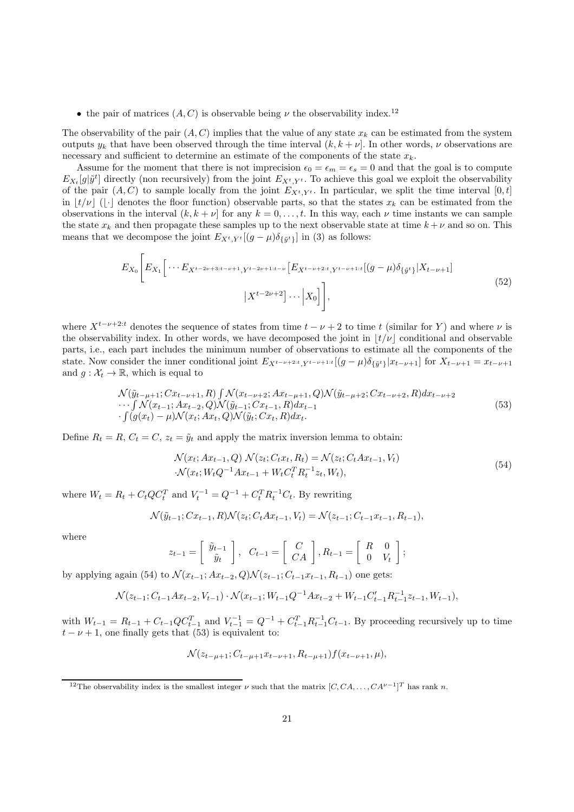• the pair of matrices  $(A, C)$  is observable being  $\nu$  the observability index.<sup>[12](#page-20-0)</sup>

The observability of the pair  $(A, C)$  implies that the value of any state  $x_k$  can be estimated from the system outputs  $y_k$  that have been observed through the time interval  $(k, k + \nu)$ . In other words,  $\nu$  observations are necessary and sufficient to determine an estimate of the components of the state  $x_k$ .

Assume for the moment that there is not imprecision  $\epsilon_0 = \epsilon_m = \epsilon_s = 0$  and that the goal is to compute  $E_{X_t}[g|\tilde{y}^t]$  directly (non recursively) from the joint  $E_{X^t,Y^t}$ . To achieve this goal we exploit the observability of the pair  $(A, C)$  to sample locally from the joint  $E_{X^t, Y^t}$ . In particular, we split the time interval  $[0, t]$ in  $|t/\nu|$  ( $|\cdot|$  denotes the floor function) observable parts, so that the states  $x_k$  can be estimated from the observations in the interval  $(k, k + \nu]$  for any  $k = 0, \ldots, t$ . In this way, each  $\nu$  time instants we can sample the state  $x_k$  and then propagate these samples up to the next observable state at time  $k + \nu$  and so on. This means that we decompose the joint  $E_{X^t,Y^t}[(g-\mu)\delta_{\{\tilde{y}^t\}}]$  in [\(3\)](#page-3-0) as follows:

$$
E_{X_0}\left[E_{X_1}\left[\cdots E_{X^{t-2\nu+3:t-\nu+1},Y^{t-2\nu+1:t-\nu}}\left[E_{X^{t-\nu+2:t},Y^{t-\nu+1:t}}\left[(g-\mu)\delta_{\{\tilde{y}^t\}}|X_{t-\nu+1}\right]\right]\right] -|X^{t-2\nu+2}]\cdots\left[X_0\right]\right],\tag{52}
$$

where  $X^{t-\nu+2:t}$  denotes the sequence of states from time  $t-\nu+2$  to time t (similar for Y) and where  $\nu$  is the observability index. In other words, we have decomposed the joint in  $|t/\nu|$  conditional and observable parts, i.e., each part includes the minimum number of observations to estimate all the components of the state. Now consider the inner conditional joint  $E_{X^{t-\nu+2:t},Y^{t-\nu+1:t}}[(g-\mu)\delta_{\{\tilde{y}^t\}}|x_{t-\nu+1}]$  for  $X_{t-\nu+1} = x_{t-\nu+1}$ and  $g: \mathcal{X}_t \to \mathbb{R}$ , which is equal to

<span id="page-20-2"></span>
$$
\mathcal{N}(\tilde{y}_{t-\mu+1}; Cx_{t-\nu+1}, R) \int \mathcal{N}(x_{t-\nu+2}; Ax_{t-\mu+1}, Q) \mathcal{N}(\tilde{y}_{t-\mu+2}; Cx_{t-\nu+2}, R) dx_{t-\nu+2} \cdots \int \mathcal{N}(x_{t-1}; Ax_{t-2}, Q) \mathcal{N}(\tilde{y}_{t-1}; Cx_{t-1}, R) dx_{t-1} \cdot \int (g(x_t) - \mu) \mathcal{N}(x_t; Ax_t, Q) \mathcal{N}(\tilde{y}_t; Cx_t, R) dx_t.
$$
\n(53)

Define  $R_t = R$ ,  $C_t = C$ ,  $z_t = \tilde{y}_t$  and apply the matrix inversion lemma to obtain:

<span id="page-20-1"></span>
$$
\mathcal{N}(x_t; Ax_{t-1}, Q) \mathcal{N}(z_t; C_t x_t, R_t) = \mathcal{N}(z_t; C_t A x_{t-1}, V_t)
$$
  
 
$$
\cdot \mathcal{N}(x_t; W_t Q^{-1} A x_{t-1} + W_t C_t^T R_t^{-1} z_t, W_t),
$$
 (54)

where  $W_t = R_t + C_t Q C_t^T$  and  $V_t^{-1} = Q^{-1} + C_t^T R_t^{-1} C_t$ . By rewriting

$$
\mathcal{N}(\tilde{y}_{t-1}; Cx_{t-1}, R)\mathcal{N}(z_t; C_tAx_{t-1}, V_t) = \mathcal{N}(z_{t-1}; C_{t-1}x_{t-1}, R_{t-1}),
$$

where

$$
z_{t-1} = \left[ \begin{array}{c} \tilde{y}_{t-1} \\ \tilde{y}_t \end{array} \right], \quad C_{t-1} = \left[ \begin{array}{c} C \\ CA \end{array} \right], R_{t-1} = \left[ \begin{array}{cc} R & 0 \\ 0 & V_t \end{array} \right];
$$

by applying again [\(54\)](#page-20-1) to  $\mathcal{N}(x_{t-1}; Ax_{t-2}, Q)\mathcal{N}(z_{t-1}; C_{t-1}x_{t-1}, R_{t-1})$  one gets:

$$
\mathcal{N}(z_{t-1}; C_{t-1}Ax_{t-2}, V_{t-1}) \cdot \mathcal{N}(x_{t-1}; W_{t-1}Q^{-1}Ax_{t-2} + W_{t-1}C'_{t-1}R_{t-1}^{-1}z_{t-1}, W_{t-1}),
$$

with  $W_{t-1} = R_{t-1} + C_{t-1} Q C_{t-1}^T$  and  $V_{t-1}^{-1} = Q^{-1} + C_{t-1}^T R_{t-1}^{-1} C_{t-1}$ . By proceeding recursively up to time  $t - \nu + 1$ , one finally gets that [\(53\)](#page-20-2) is equivalent to:

$$
\mathcal{N}(z_{t-\mu+1};C_{t-\mu+1}x_{t-\nu+1},R_{t-\mu+1})f(x_{t-\nu+1},\mu),
$$

<span id="page-20-0"></span><sup>&</sup>lt;sup>12</sup>The observability index is the smallest integer  $\nu$  such that the matrix  $[C, CA, \ldots, CA^{\nu-1}]^T$  has rank n.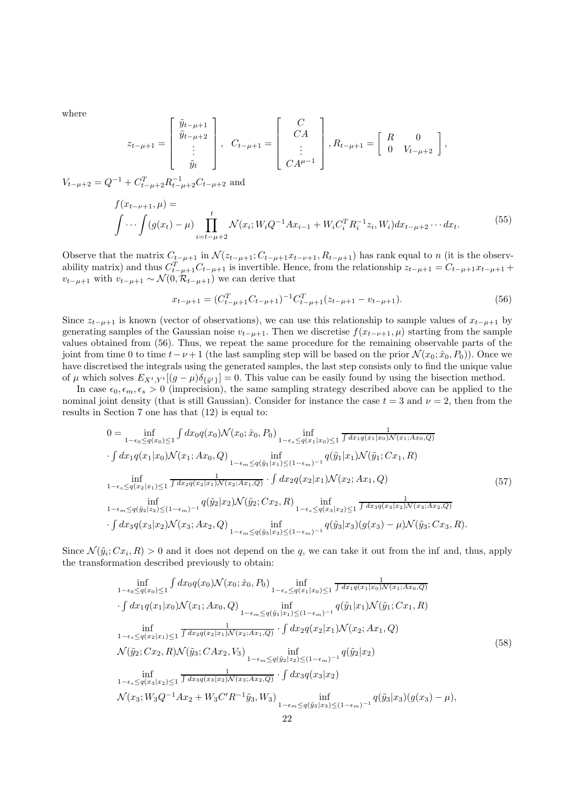where

$$
z_{t-\mu+1} = \begin{bmatrix} \tilde{y}_{t-\mu+1} \\ \tilde{y}_{t-\mu+2} \\ \vdots \\ \tilde{y}_{t} \end{bmatrix}, \ \ C_{t-\mu+1} = \begin{bmatrix} C \\ CA \\ \vdots \\ CA^{\mu-1} \end{bmatrix}, R_{t-\mu+1} = \begin{bmatrix} R & 0 \\ 0 & V_{t-\mu+2} \end{bmatrix},
$$

 $V_{t-\mu+2} = Q^{-1} + C_{t-\mu+2}^T R_{t-\mu+2}^{-1} C_{t-\mu+2}$  and

$$
f(x_{t-\nu+1}, \mu) = \int \cdots \int (g(x_t) - \mu) \prod_{i=t-\mu+2}^t \mathcal{N}(x_i; W_i Q^{-1} A x_{i-1} + W_i C_i^T R_i^{-1} z_i, W_i) dx_{t-\mu+2} \cdots dx_t.
$$
 (55)

Observe that the matrix  $C_{t-\mu+1}$  in  $\mathcal{N}(z_{t-\mu+1}; C_{t-\mu+1}x_{t-\nu+1}, R_{t-\mu+1})$  has rank equal to n (it is the observability matrix) and thus  $C_{t-\mu+1}^T C_{t-\mu+1}$  is invertible. Hence, from the relationship  $z_{t-\mu+1} = C_{t-\mu+1}x_{t-\mu+1} +$  $v_{t-\mu+1}$  with  $v_{t-\mu+1} \sim \mathcal{N}(0, \mathcal{R}_{t-\mu+1})$  we can derive that

<span id="page-21-0"></span>
$$
x_{t-\mu+1} = (C_{t-\mu+1}^T C_{t-\mu+1})^{-1} C_{t-\mu+1}^T (z_{t-\mu+1} - v_{t-\mu+1}).
$$
\n(56)

Since  $z_{t-\mu+1}$  is known (vector of observations), we can use this relationship to sample values of  $x_{t-\mu+1}$  by generating samples of the Gaussian noise  $v_{t-\mu+1}$ . Then we discretise  $f(x_{t-\nu+1}, \mu)$  starting from the sample values obtained from [\(56\)](#page-21-0). Thus, we repeat the same procedure for the remaining observable parts of the joint from time 0 to time  $t-\nu+1$  (the last sampling step will be based on the prior  $\mathcal{N}(x_0; \hat{x}_0, P_0)$ ). Once we have discretised the integrals using the generated samples, the last step consists only to find the unique value of  $\mu$  which solves  $E_{X^t,Y^t}[(g-\mu)\delta_{\{\tilde{y}^t\}}]=0$ . This value can be easily found by using the bisection method.

In case  $\epsilon_0, \epsilon_m, \epsilon_s > 0$  (imprecision), the same sampling strategy described above can be applied to the nominal joint density (that is still Gaussian). Consider for instance the case  $t = 3$  and  $\nu = 2$ , then from the results in Section [7](#page-13-6) one has that [\(12\)](#page-6-5) is equal to:

$$
0 = \inf_{1-\epsilon_{0} \leq q(x_{0}) \leq 1} \int dx_{0} q(x_{0}) \mathcal{N}(x_{0}; \hat{x}_{0}, P_{0}) \inf_{1-\epsilon_{s} \leq q(x_{1}|x_{0}) \leq 1} \frac{1}{\int dx_{1} q(x_{1}|x_{0}) \mathcal{N}(x_{1};Ax_{0}, Q)} \cdot \int dx_{1} q(x_{1}|x_{0}) \mathcal{N}(x_{1};Ax_{0}, Q) \inf_{1-\epsilon_{m} \leq q(\hat{y}_{1}|x_{1}) \leq (1-\epsilon_{m})^{-1}} q(\hat{y}_{1}|x_{1}) \mathcal{N}(\tilde{y}_{1};Cx_{1}, R) \n\inf_{1-\epsilon_{s} \leq q(x_{2}|x_{1}) \leq 1} \frac{1}{\int dx_{2} q(x_{2}|x_{1}) \mathcal{N}(x_{2};Ax_{1}, Q)} \cdot \int dx_{2} q(x_{2}|x_{1}) \mathcal{N}(x_{2};Ax_{1}, Q) \n1-\epsilon_{m} \leq q(\tilde{y}_{2}|x_{2}) \leq (1-\epsilon_{m})^{-1}} q(\tilde{y}_{2}|x_{2}) \mathcal{N}(\tilde{y}_{2};Cx_{2}, R) \inf_{1-\epsilon_{s} \leq q(x_{3}|x_{2}) \leq 1} \frac{1}{\int dx_{3} q(x_{3}|x_{2}) \mathcal{N}(x_{3};Ax_{2}, Q)} \cdot \int dx_{3} q(x_{3}|x_{2}) \mathcal{N}(x_{3};Ax_{2}, Q) \inf_{1-\epsilon_{m} \leq q(\tilde{y}_{3}|x_{3}) \leq (1-\epsilon_{m})^{-1}} q(\tilde{y}_{3}|x_{3}) (g(x_{3}) - \mu) \mathcal{N}(\tilde{y}_{3};Cx_{3}, R).
$$
\n(A)

Since  $\mathcal{N}(\tilde{y}_i; C_{x_i}, R) > 0$  and it does not depend on the q, we can take it out from the inf and, thus, apply the transformation described previously to obtain:

<span id="page-21-1"></span>
$$
\inf_{1-\epsilon_{0}\leq q(x_{0})\leq 1} \int dx_{0}q(x_{0})\mathcal{N}(x_{0};\hat{x}_{0},P_{0}) \inf_{1-\epsilon_{s}\leq q(x_{1}|x_{0})\leq 1} \frac{1}{\int dx_{1}q(x_{1}|x_{0})\mathcal{N}(x_{1};Ax_{0},Q)} \cdot \int dx_{1}q(x_{1}|x_{0})\mathcal{N}(x_{1};Ax_{0},Q) \inf_{1-\epsilon_{m}\leq q(\tilde{y}_{1}|x_{1})\leq (1-\epsilon_{m})^{-1}} q(\tilde{y}_{1}|x_{1})\mathcal{N}(\tilde{y}_{1};Cx_{1},R) \n\inf_{1-\epsilon_{s}\leq q(x_{2}|x_{1})\leq 1} \frac{1}{\int dx_{2}q(x_{2}|x_{1})\mathcal{N}(x_{2};Ax_{1},Q)} \cdot \int dx_{2}q(x_{2}|x_{1})\mathcal{N}(x_{2};Ax_{1},Q) \n\mathcal{N}(\tilde{y}_{2};Cx_{2},R)\mathcal{N}(\tilde{y}_{3};CAx_{2},V_{3}) \inf_{1-\epsilon_{m}\leq q(\tilde{y}_{2}|z_{2})\leq (1-\epsilon_{m})^{-1}} q(\tilde{y}_{2}|x_{2}) \n\inf_{1-\epsilon_{s}\leq q(x_{3}|x_{2})\leq 1} \frac{1}{\int dx_{3}q(x_{3}|x_{2})\mathcal{N}(x_{3};Ax_{2},Q)} \cdot \int dx_{3}q(x_{3}|x_{2}) \n\mathcal{N}(x_{3};W_{3}Q^{-1}Ax_{2}+W_{3}C'R^{-1}\tilde{y}_{3},W_{3}) \inf_{1-\epsilon_{m}\leq q(\tilde{y}_{3}|x_{3})\leq (1-\epsilon_{m})^{-1}} q(\tilde{y}_{3}|x_{3})\left(g(x_{3})-\mu\right),
$$
\n(58)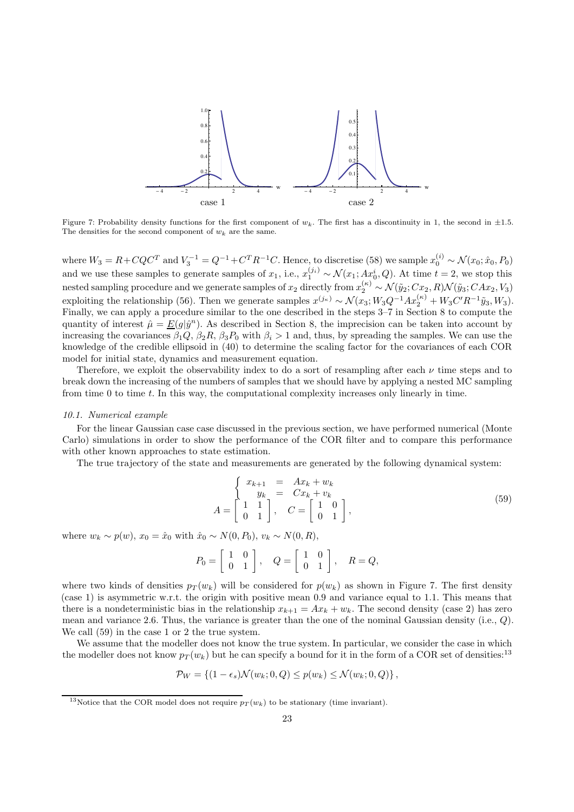

<span id="page-22-1"></span>Figure 7: Probability density functions for the first component of  $w_k$ . The first has a discontinuity in 1, the second in  $\pm 1.5$ . The densities for the second component of  $w_k$  are the same.

where  $W_3 = R + CQC^T$  and  $V_3^{-1} = Q^{-1} + C^T R^{-1} C$ . Hence, to discretise [\(58\)](#page-21-1) we sample  $x_0^{(i)} \sim \mathcal{N}(x_0; \hat{x}_0, P_0)$ and we use these samples to generate samples of  $x_1$ , i.e.,  $x_1^{(j_i)} \sim \mathcal{N}(x_1; Ax_0^i, Q)$ . At time  $t = 2$ , we stop this nested sampling procedure and we generate samples of  $x_2$  directly from  $x_2^{(\kappa)} \sim \mathcal{N}(\tilde{y}_2; C_{x_2}, R) \mathcal{N}(\tilde{y}_3; C_{x_2}, V_3)$ exploiting the relationship [\(56\)](#page-21-0). Then we generate samples  $x^{(j_{\kappa})} \sim \mathcal{N}(x_3; W_3Q^{-1}Ax_2^{(\kappa)} + W_3C'R^{-1}\tilde{y}_3, W_3)$ . Finally, we can apply a procedure similar to the one described in the steps 3–7 in Section [8](#page-18-0) to compute the quantity of interest  $\hat{\mu} = \underline{E}(g|\hat{y}^n)$ . As described in Section [8,](#page-18-0) the imprecision can be taken into account by increasing the covariances  $\beta_1 Q$ ,  $\beta_2 R$ ,  $\beta_3 P_0$  with  $\beta_i > 1$  and, thus, by spreading the samples. We can use the knowledge of the credible ellipsoid in [\(40\)](#page-13-4) to determine the scaling factor for the covariances of each COR model for initial state, dynamics and measurement equation.

Therefore, we exploit the observability index to do a sort of resampling after each  $\nu$  time steps and to break down the increasing of the numbers of samples that we should have by applying a nested MC sampling from time 0 to time t. In this way, the computational complexity increases only linearly in time.

# <span id="page-22-0"></span>10.1. Numerical example

For the linear Gaussian case case discussed in the previous section, we have performed numerical (Monte Carlo) simulations in order to show the performance of the COR filter and to compare this performance with other known approaches to state estimation.

The true trajectory of the state and measurements are generated by the following dynamical system:

<span id="page-22-2"></span>
$$
A = \begin{cases} x_{k+1} & = & Ax_k + w_k \\ y_k & = & Cx_k + v_k \\ 0 & 1 \end{cases}
$$
 (59)  

$$
A = \begin{bmatrix} 1 & 1 \\ 0 & 1 \end{bmatrix}, C = \begin{bmatrix} 1 & 0 \\ 0 & 1 \end{bmatrix},
$$

where  $w_k \sim p(w)$ ,  $x_0 = \hat{x}_0$  with  $\hat{x}_0 \sim N(0, P_0)$ ,  $v_k \sim N(0, R)$ ,

$$
P_0 = \left[ \begin{array}{cc} 1 & 0 \\ 0 & 1 \end{array} \right], \quad Q = \left[ \begin{array}{cc} 1 & 0 \\ 0 & 1 \end{array} \right], \quad R = Q,
$$

where two kinds of densities  $p_T(w_k)$  will be considered for  $p(w_k)$  as shown in Figure [7.](#page-22-1) The first density (case 1) is asymmetric w.r.t. the origin with positive mean 0.9 and variance equal to 1.1. This means that there is a nondeterministic bias in the relationship  $x_{k+1} = Ax_k + w_k$ . The second density (case 2) has zero mean and variance 2.6. Thus, the variance is greater than the one of the nominal Gaussian density (i.e., Q). We call [\(59\)](#page-22-2) in the case 1 or 2 the true system.

We assume that the modeller does not know the true system. In particular, we consider the case in which the modeller does not know  $p_T(w_k)$  but he can specify a bound for it in the form of a COR set of densities:<sup>[13](#page-22-3)</sup>

$$
\mathcal{P}_W = \left\{ (1 - \epsilon_s) \mathcal{N}(w_k; 0, Q) \le p(w_k) \le \mathcal{N}(w_k; 0, Q) \right\},\
$$

<span id="page-22-3"></span><sup>&</sup>lt;sup>13</sup>Notice that the COR model does not require  $p_T(w_k)$  to be stationary (time invariant).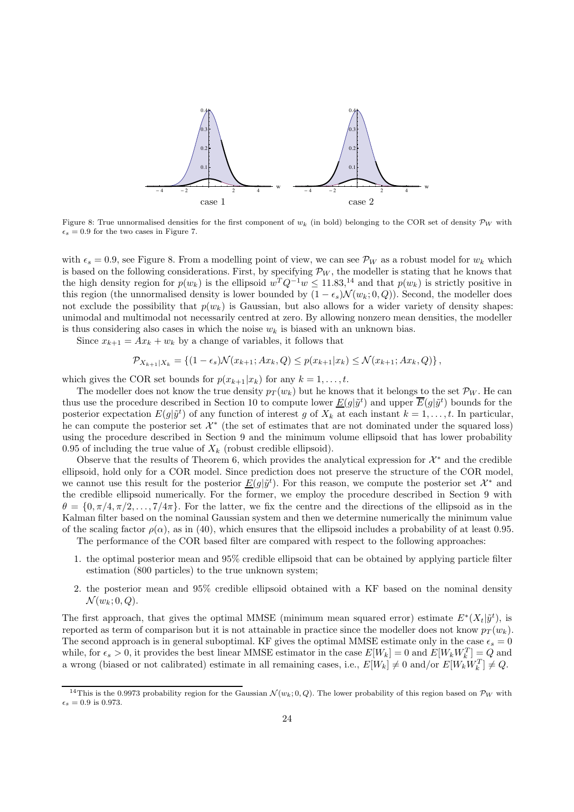

<span id="page-23-0"></span>Figure 8: True unnormalised densities for the first component of  $w_k$  (in bold) belonging to the COR set of density  $\mathcal{P}_W$  with  $\epsilon_s = 0.9$  for the two cases in Figure [7.](#page-22-1)

with  $\epsilon_s = 0.9$ , see Figure [8.](#page-23-0) From a modelling point of view, we can see  $\mathcal{P}_W$  as a robust model for  $w_k$  which is based on the following considerations. First, by specifying  $\mathcal{P}_W$ , the modeller is stating that he knows that the high density region for  $p(w_k)$  is the ellipsoid  $w^T Q^{-1} w \le 11.83$ ,<sup>[14](#page-23-1)</sup> and that  $p(w_k)$  is strictly positive in this region (the unnormalised density is lower bounded by  $(1 - \epsilon_s) \mathcal{N}(w_k; 0, Q)$ ). Second, the modeller does not exclude the possibility that  $p(w_k)$  is Gaussian, but also allows for a wider variety of density shapes: unimodal and multimodal not necessarily centred at zero. By allowing nonzero mean densities, the modeller is thus considering also cases in which the noise  $w_k$  is biased with an unknown bias.

Since  $x_{k+1} = Ax_k + w_k$  by a change of variables, it follows that

$$
\mathcal{P}_{X_{k+1}|X_k} = \left\{ (1-\epsilon_s)\mathcal{N}(x_{k+1}; Ax_k, Q) \le p(x_{k+1}|x_k) \le \mathcal{N}(x_{k+1}; Ax_k, Q) \right\},
$$

which gives the COR set bounds for  $p(x_{k+1}|x_k)$  for any  $k = 1, \ldots, t$ .

The modeller does not know the true density  $p_T(w_k)$  but he knows that it belongs to the set  $\mathcal{P}_W$ . He can thus use the procedure described in Section [10](#page-19-3) to compute lower  $\underline{E}(g|\tilde{y}^t)$  and upper  $\overline{E}(g|\tilde{y}^t)$  bounds for the posterior expectation  $E(g|\tilde{y}^t)$  of any function of interest g of  $X_k$  at each instant  $k = 1, \ldots, t$ . In particular, he can compute the posterior set  $\mathcal{X}^*$  (the set of estimates that are not dominated under the squared loss) using the procedure described in Section [9](#page-19-0) and the minimum volume ellipsoid that has lower probability 0.95 of including the true value of  $X_k$  (robust credible ellipsoid).

Observe that the results of Theorem [6,](#page-13-5) which provides the analytical expression for  $\mathcal{X}^*$  and the credible ellipsoid, hold only for a COR model. Since prediction does not preserve the structure of the COR model, we cannot use this result for the posterior  $\underline{E}(g|\tilde{y}^t)$ . For this reason, we compute the posterior set  $\mathcal{X}^*$  and the credible ellipsoid numerically. For the former, we employ the procedure described in Section [9](#page-19-0) with  $\theta = \{0, \pi/4, \pi/2, \ldots, 7/4\pi\}$ . For the latter, we fix the centre and the directions of the ellipsoid as in the Kalman filter based on the nominal Gaussian system and then we determine numerically the minimum value of the scaling factor  $\rho(\alpha)$ , as in [\(40\)](#page-13-4), which ensures that the ellipsoid includes a probability of at least 0.95.

The performance of the COR based filter are compared with respect to the following approaches:

- 1. the optimal posterior mean and 95% credible ellipsoid that can be obtained by applying particle filter estimation (800 particles) to the true unknown system;
- 2. the posterior mean and 95% credible ellipsoid obtained with a KF based on the nominal density  $\mathcal{N}(w_k; 0, Q).$

The first approach, that gives the optimal MMSE (minimum mean squared error) estimate  $E^*(X_t|\tilde{y}^t)$ , is reported as term of comparison but it is not attainable in practice since the modeller does not know  $p_T(w_k)$ . The second approach is in general suboptimal. KF gives the optimal MMSE estimate only in the case  $\epsilon_s = 0$ while, for  $\epsilon_s > 0$ , it provides the best linear MMSE estimator in the case  $E[W_k] = 0$  and  $E[W_k W_k^T] = Q$  and a wrong (biased or not calibrated) estimate in all remaining cases, i.e.,  $E[W_k] \neq 0$  and/or  $E[W_k W_k^T] \neq Q$ .

<span id="page-23-1"></span><sup>&</sup>lt;sup>14</sup>This is the 0.9973 probability region for the Gaussian  $\mathcal{N}(w_k; 0, Q)$ . The lower probability of this region based on  $\mathcal{P}_W$  with  $\epsilon_s = 0.9$  is 0.973.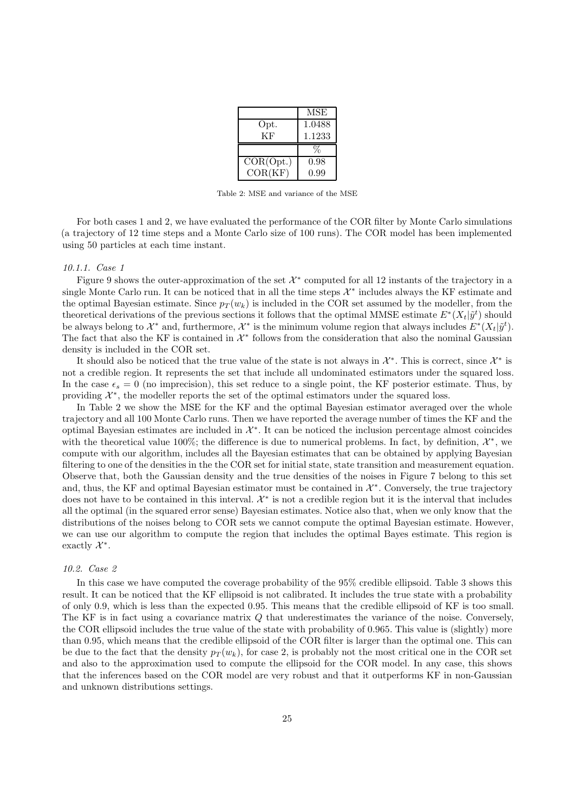|           | <b>MSE</b> |
|-----------|------------|
| Opt.      | 1.0488     |
| ΚF        | 1.1233     |
|           |            |
|           |            |
| COR(Opt.) | 0.98       |

<span id="page-24-0"></span>Table 2: MSE and variance of the MSE

For both cases 1 and 2, we have evaluated the performance of the COR filter by Monte Carlo simulations (a trajectory of 12 time steps and a Monte Carlo size of 100 runs). The COR model has been implemented using 50 particles at each time instant.

# 10.1.1. Case 1

Figure [9](#page-25-0) shows the outer-approximation of the set  $\mathcal{X}^*$  computed for all 12 instants of the trajectory in a single Monte Carlo run. It can be noticed that in all the time steps  $\mathcal{X}^*$  includes always the KF estimate and the optimal Bayesian estimate. Since  $p_T(w_k)$  is included in the COR set assumed by the modeller, from the theoretical derivations of the previous sections it follows that the optimal MMSE estimate  $E^*(X_t|\tilde{y}^t)$  should be always belong to  $\mathcal{X}^*$  and, furthermore,  $\mathcal{X}^*$  is the minimum volume region that always includes  $E^*(X_t|\tilde{y}^t)$ . The fact that also the KF is contained in  $\mathcal{X}^*$  follows from the consideration that also the nominal Gaussian density is included in the COR set.

It should also be noticed that the true value of the state is not always in  $\mathcal{X}^*$ . This is correct, since  $\mathcal{X}^*$  is not a credible region. It represents the set that include all undominated estimators under the squared loss. In the case  $\epsilon_s = 0$  (no imprecision), this set reduce to a single point, the KF posterior estimate. Thus, by providing  $\mathcal{X}^*$ , the modeller reports the set of the optimal estimators under the squared loss.

In Table [2](#page-24-0) we show the MSE for the KF and the optimal Bayesian estimator averaged over the whole trajectory and all 100 Monte Carlo runs. Then we have reported the average number of times the KF and the optimal Bayesian estimates are included in  $\mathcal{X}^*$ . It can be noticed the inclusion percentage almost coincides with the theoretical value 100%; the difference is due to numerical problems. In fact, by definition,  $\mathcal{X}^*$ , we compute with our algorithm, includes all the Bayesian estimates that can be obtained by applying Bayesian filtering to one of the densities in the the COR set for initial state, state transition and measurement equation. Observe that, both the Gaussian density and the true densities of the noises in Figure [7](#page-22-1) belong to this set and, thus, the KF and optimal Bayesian estimator must be contained in  $\mathcal{X}^*$ . Conversely, the true trajectory does not have to be contained in this interval.  $\mathcal{X}^*$  is not a credible region but it is the interval that includes all the optimal (in the squared error sense) Bayesian estimates. Notice also that, when we only know that the distributions of the noises belong to COR sets we cannot compute the optimal Bayesian estimate. However, we can use our algorithm to compute the region that includes the optimal Bayes estimate. This region is exactly  $\mathcal{X}^*$ .

### 10.2. Case 2

In this case we have computed the coverage probability of the 95% credible ellipsoid. Table [3](#page-25-1) shows this result. It can be noticed that the KF ellipsoid is not calibrated. It includes the true state with a probability of only 0.9, which is less than the expected 0.95. This means that the credible ellipsoid of KF is too small. The KF is in fact using a covariance matrix Q that underestimates the variance of the noise. Conversely, the COR ellipsoid includes the true value of the state with probability of 0.965. This value is (slightly) more than 0.95, which means that the credible ellipsoid of the COR filter is larger than the optimal one. This can be due to the fact that the density  $p_T(w_k)$ , for case 2, is probably not the most critical one in the COR set and also to the approximation used to compute the ellipsoid for the COR model. In any case, this shows that the inferences based on the COR model are very robust and that it outperforms KF in non-Gaussian and unknown distributions settings.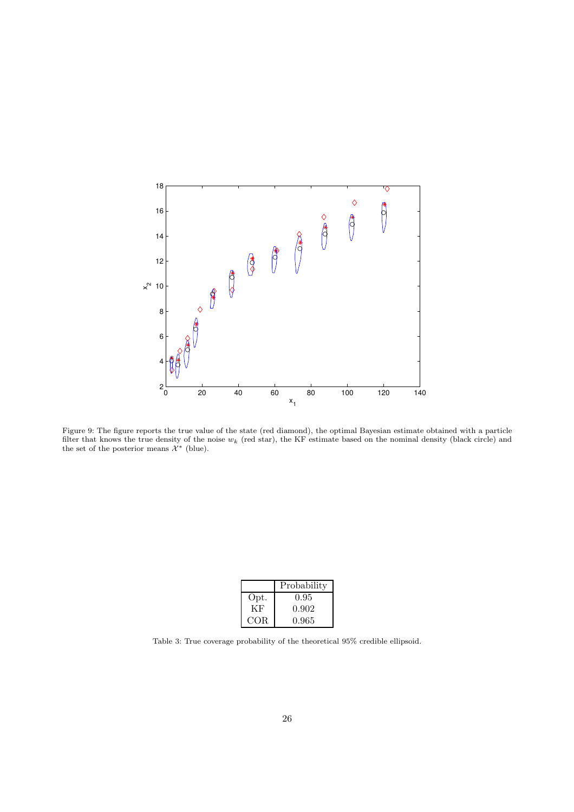

<span id="page-25-0"></span>Figure 9: The figure reports the true value of the state (red diamond), the optimal Bayesian estimate obtained with a particle filter that knows the true density of the noise  $w_k$  (red star), the KF estimate based on the nominal density (black circle) and the set of the posterior means  $\mathcal{X}^*$  (blue).

|      | Probability |
|------|-------------|
| Opt. | 0.95        |
| КF   | 0.902       |
| COR. | 0.965       |

<span id="page-25-1"></span>Table 3: True coverage probability of the theoretical 95% credible ellipsoid.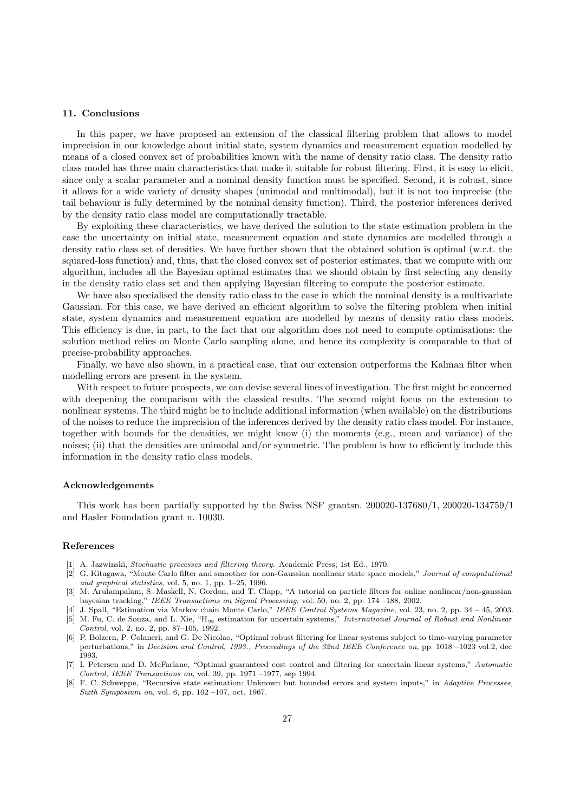### 11. Conclusions

In this paper, we have proposed an extension of the classical filtering problem that allows to model imprecision in our knowledge about initial state, system dynamics and measurement equation modelled by means of a closed convex set of probabilities known with the name of density ratio class. The density ratio class model has three main characteristics that make it suitable for robust filtering. First, it is easy to elicit, since only a scalar parameter and a nominal density function must be specified. Second, it is robust, since it allows for a wide variety of density shapes (unimodal and multimodal), but it is not too imprecise (the tail behaviour is fully determined by the nominal density function). Third, the posterior inferences derived by the density ratio class model are computationally tractable.

By exploiting these characteristics, we have derived the solution to the state estimation problem in the case the uncertainty on initial state, measurement equation and state dynamics are modelled through a density ratio class set of densities. We have further shown that the obtained solution is optimal (w.r.t. the squared-loss function) and, thus, that the closed convex set of posterior estimates, that we compute with our algorithm, includes all the Bayesian optimal estimates that we should obtain by first selecting any density in the density ratio class set and then applying Bayesian filtering to compute the posterior estimate.

We have also specialised the density ratio class to the case in which the nominal density is a multivariate Gaussian. For this case, we have derived an efficient algorithm to solve the filtering problem when initial state, system dynamics and measurement equation are modelled by means of density ratio class models. This efficiency is due, in part, to the fact that our algorithm does not need to compute optimisations: the solution method relies on Monte Carlo sampling alone, and hence its complexity is comparable to that of precise-probability approaches.

Finally, we have also shown, in a practical case, that our extension outperforms the Kalman filter when modelling errors are present in the system.

With respect to future prospects, we can devise several lines of investigation. The first might be concerned with deepening the comparison with the classical results. The second might focus on the extension to nonlinear systems. The third might be to include additional information (when available) on the distributions of the noises to reduce the imprecision of the inferences derived by the density ratio class model. For instance, together with bounds for the densities, we might know (i) the moments (e.g., mean and variance) of the noises; (ii) that the densities are unimodal and/or symmetric. The problem is how to efficiently include this information in the density ratio class models.

#### Acknowledgements

This work has been partially supported by the Swiss NSF grantsn. 200020-137680/1, 200020-134759/1 and Hasler Foundation grant n. 10030.

### References

- <span id="page-26-0"></span>[1] A. Jazwinski, *Stochastic processes and filtering theory*. Academic Press; 1st Ed., 1970.
- <span id="page-26-1"></span>[2] G. Kitagawa, "Monte Carlo filter and smoother for non-Gaussian nonlinear state space models," *Journal of computational and graphical statistics*, vol. 5, no. 1, pp. 1–25, 1996.
- <span id="page-26-2"></span>[3] M. Arulampalam, S. Maskell, N. Gordon, and T. Clapp, "A tutorial on particle filters for online nonlinear/non-gaussian bayesian tracking," *IEEE Transactions on Signal Processing*, vol. 50, no. 2, pp. 174 –188, 2002.
- <span id="page-26-3"></span>[4] J. Spall, "Estimation via Markov chain Monte Carlo," *IEEE Control Systems Magazine*, vol. 23, no. 2, pp. 34 – 45, 2003.
- <span id="page-26-4"></span>[5] M. Fu, C. de Souza, and L. Xie, "H∞ estimation for uncertain systems," *International Journal of Robust and Nonlinear Control*, vol. 2, no. 2, pp. 87–105, 1992.
- <span id="page-26-5"></span>[6] P. Bolzern, P. Colaneri, and G. De Nicolao, "Optimal robust filtering for linear systems subject to time-varying parameter perturbations," in *Decision and Control, 1993., Proceedings of the 32nd IEEE Conference on*, pp. 1018 –1023 vol.2, dec 1993.
- <span id="page-26-6"></span>[7] I. Petersen and D. McFarlane, "Optimal guaranteed cost control and filtering for uncertain linear systems," *Automatic Control, IEEE Transactions on*, vol. 39, pp. 1971 –1977, sep 1994.
- <span id="page-26-7"></span>[8] F. C. Schweppe, "Recursive state estimation: Unknown but bounded errors and system inputs," in *Adaptive Processes, Sixth Symposium on*, vol. 6, pp. 102 –107, oct. 1967.